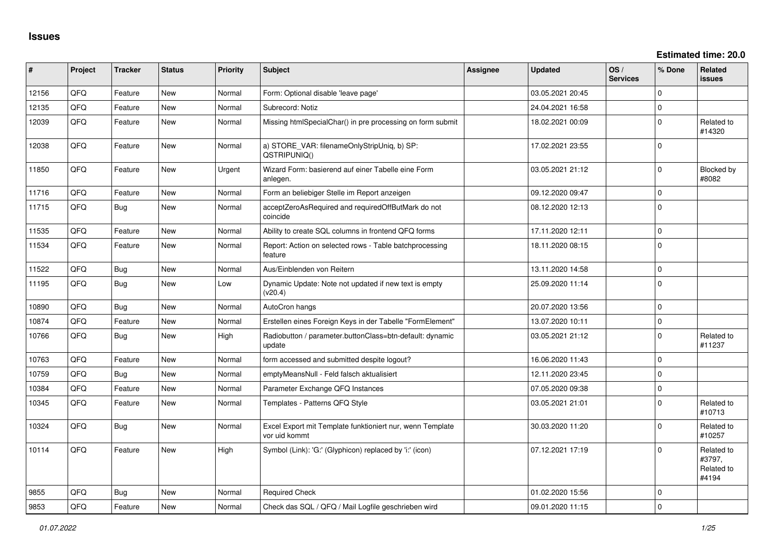**Estimated time: 20.0**

| #     | Project | <b>Tracker</b> | <b>Status</b> | <b>Priority</b> | <b>Subject</b>                                                             | Assignee | <b>Updated</b>   | OS/<br><b>Services</b> | % Done      | <b>Related</b><br>issues                    |
|-------|---------|----------------|---------------|-----------------|----------------------------------------------------------------------------|----------|------------------|------------------------|-------------|---------------------------------------------|
| 12156 | QFQ     | Feature        | <b>New</b>    | Normal          | Form: Optional disable 'leave page'                                        |          | 03.05.2021 20:45 |                        | $\Omega$    |                                             |
| 12135 | QFQ     | Feature        | <b>New</b>    | Normal          | Subrecord: Notiz                                                           |          | 24.04.2021 16:58 |                        | $\Omega$    |                                             |
| 12039 | QFQ     | Feature        | <b>New</b>    | Normal          | Missing htmlSpecialChar() in pre processing on form submit                 |          | 18.02.2021 00:09 |                        | $\Omega$    | Related to<br>#14320                        |
| 12038 | QFQ     | Feature        | <b>New</b>    | Normal          | a) STORE_VAR: filenameOnlyStripUniq, b) SP:<br>QSTRIPUNIQ()                |          | 17.02.2021 23:55 |                        | $\Omega$    |                                             |
| 11850 | QFQ     | Feature        | <b>New</b>    | Urgent          | Wizard Form: basierend auf einer Tabelle eine Form<br>anlegen.             |          | 03.05.2021 21:12 |                        | $\Omega$    | <b>Blocked by</b><br>#8082                  |
| 11716 | QFQ     | Feature        | <b>New</b>    | Normal          | Form an beliebiger Stelle im Report anzeigen                               |          | 09.12.2020 09:47 |                        | $\Omega$    |                                             |
| 11715 | QFQ     | Bug            | <b>New</b>    | Normal          | acceptZeroAsRequired and requiredOffButMark do not<br>coincide             |          | 08.12.2020 12:13 |                        | $\Omega$    |                                             |
| 11535 | QFQ     | Feature        | <b>New</b>    | Normal          | Ability to create SQL columns in frontend QFQ forms                        |          | 17.11.2020 12:11 |                        | $\Omega$    |                                             |
| 11534 | QFQ     | Feature        | New           | Normal          | Report: Action on selected rows - Table batchprocessing<br>feature         |          | 18.11.2020 08:15 |                        | $\Omega$    |                                             |
| 11522 | QFQ     | <b>Bug</b>     | New           | Normal          | Aus/Einblenden von Reitern                                                 |          | 13.11.2020 14:58 |                        | $\mathbf 0$ |                                             |
| 11195 | QFQ     | <b>Bug</b>     | <b>New</b>    | Low             | Dynamic Update: Note not updated if new text is empty<br>(v20.4)           |          | 25.09.2020 11:14 |                        | $\Omega$    |                                             |
| 10890 | QFQ     | <b>Bug</b>     | <b>New</b>    | Normal          | AutoCron hangs                                                             |          | 20.07.2020 13:56 |                        | $\mathbf 0$ |                                             |
| 10874 | QFQ     | Feature        | <b>New</b>    | Normal          | Erstellen eines Foreign Keys in der Tabelle "FormElement"                  |          | 13.07.2020 10:11 |                        | $\Omega$    |                                             |
| 10766 | QFQ     | <b>Bug</b>     | <b>New</b>    | High            | Radiobutton / parameter.buttonClass=btn-default: dynamic<br>update         |          | 03.05.2021 21:12 |                        | $\Omega$    | Related to<br>#11237                        |
| 10763 | QFQ     | Feature        | New           | Normal          | form accessed and submitted despite logout?                                |          | 16.06.2020 11:43 |                        | $\Omega$    |                                             |
| 10759 | QFQ     | <b>Bug</b>     | <b>New</b>    | Normal          | emptyMeansNull - Feld falsch aktualisiert                                  |          | 12.11.2020 23:45 |                        | $\Omega$    |                                             |
| 10384 | QFQ     | Feature        | <b>New</b>    | Normal          | Parameter Exchange QFQ Instances                                           |          | 07.05.2020 09:38 |                        | $\Omega$    |                                             |
| 10345 | QFQ     | Feature        | New           | Normal          | Templates - Patterns QFQ Style                                             |          | 03.05.2021 21:01 |                        | $\Omega$    | Related to<br>#10713                        |
| 10324 | QFQ     | <b>Bug</b>     | <b>New</b>    | Normal          | Excel Export mit Template funktioniert nur, wenn Template<br>vor uid kommt |          | 30.03.2020 11:20 |                        | $\Omega$    | Related to<br>#10257                        |
| 10114 | QFQ     | Feature        | <b>New</b>    | High            | Symbol (Link): 'G:' (Glyphicon) replaced by 'i:' (icon)                    |          | 07.12.2021 17:19 |                        | $\Omega$    | Related to<br>#3797,<br>Related to<br>#4194 |
| 9855  | QFQ     | <b>Bug</b>     | <b>New</b>    | Normal          | <b>Required Check</b>                                                      |          | 01.02.2020 15:56 |                        | $\Omega$    |                                             |
| 9853  | QFQ     | Feature        | <b>New</b>    | Normal          | Check das SQL / QFQ / Mail Logfile geschrieben wird                        |          | 09.01.2020 11:15 |                        | $\Omega$    |                                             |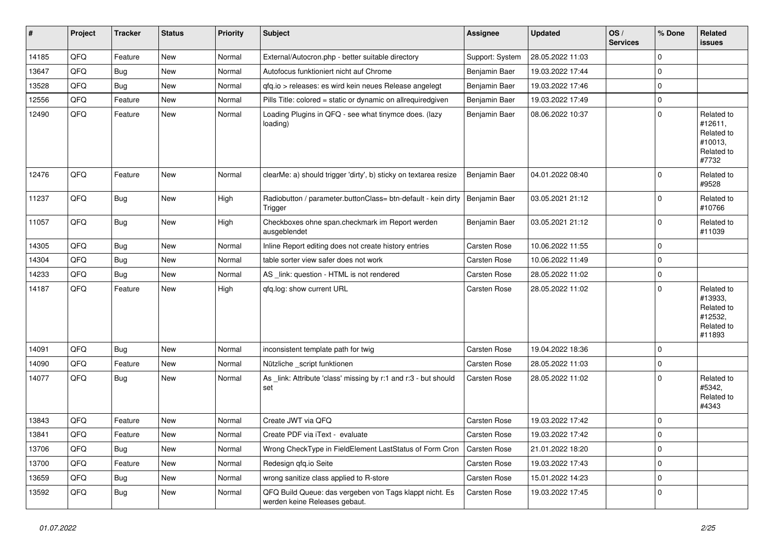| #     | Project | <b>Tracker</b> | <b>Status</b> | <b>Priority</b> | Subject                                                                                  | <b>Assignee</b>     | <b>Updated</b>   | OS/<br><b>Services</b> | % Done         | Related<br>issues                                                      |
|-------|---------|----------------|---------------|-----------------|------------------------------------------------------------------------------------------|---------------------|------------------|------------------------|----------------|------------------------------------------------------------------------|
| 14185 | QFQ     | Feature        | New           | Normal          | External/Autocron.php - better suitable directory                                        | Support: System     | 28.05.2022 11:03 |                        | $\mathbf 0$    |                                                                        |
| 13647 | QFQ     | Bug            | New           | Normal          | Autofocus funktioniert nicht auf Chrome                                                  | Benjamin Baer       | 19.03.2022 17:44 |                        | 0              |                                                                        |
| 13528 | QFQ     | Bug            | New           | Normal          | gfg.io > releases: es wird kein neues Release angelegt                                   | Benjamin Baer       | 19.03.2022 17:46 |                        | 0              |                                                                        |
| 12556 | QFQ     | Feature        | New           | Normal          | Pills Title: colored = static or dynamic on allrequiredgiven                             | Benjamin Baer       | 19.03.2022 17:49 |                        | $\mathbf 0$    |                                                                        |
| 12490 | QFQ     | Feature        | New           | Normal          | Loading Plugins in QFQ - see what tinymce does. (lazy<br>loading)                        | Benjamin Baer       | 08.06.2022 10:37 |                        | $\mathbf 0$    | Related to<br>#12611,<br>Related to<br>#10013,<br>Related to<br>#7732  |
| 12476 | QFQ     | Feature        | New           | Normal          | clearMe: a) should trigger 'dirty', b) sticky on textarea resize                         | Benjamin Baer       | 04.01.2022 08:40 |                        | $\mathbf 0$    | Related to<br>#9528                                                    |
| 11237 | QFQ     | Bug            | New           | High            | Radiobutton / parameter.buttonClass= btn-default - kein dirty<br>Trigger                 | Benjamin Baer       | 03.05.2021 21:12 |                        | $\mathbf 0$    | Related to<br>#10766                                                   |
| 11057 | QFQ     | Bug            | New           | High            | Checkboxes ohne span.checkmark im Report werden<br>ausgeblendet                          | Benjamin Baer       | 03.05.2021 21:12 |                        | 0              | Related to<br>#11039                                                   |
| 14305 | QFQ     | <b>Bug</b>     | New           | Normal          | Inline Report editing does not create history entries                                    | Carsten Rose        | 10.06.2022 11:55 |                        | $\mathbf 0$    |                                                                        |
| 14304 | QFQ     | <b>Bug</b>     | New           | Normal          | table sorter view safer does not work                                                    | Carsten Rose        | 10.06.2022 11:49 |                        | 0              |                                                                        |
| 14233 | QFQ     | <b>Bug</b>     | New           | Normal          | AS _link: question - HTML is not rendered                                                | Carsten Rose        | 28.05.2022 11:02 |                        | $\mathbf 0$    |                                                                        |
| 14187 | QFQ     | Feature        | New           | High            | qfq.log: show current URL                                                                | Carsten Rose        | 28.05.2022 11:02 |                        | $\mathbf 0$    | Related to<br>#13933,<br>Related to<br>#12532,<br>Related to<br>#11893 |
| 14091 | QFQ     | <b>Bug</b>     | New           | Normal          | inconsistent template path for twig                                                      | Carsten Rose        | 19.04.2022 18:36 |                        | $\mathbf 0$    |                                                                        |
| 14090 | QFQ     | Feature        | New           | Normal          | Nützliche _script funktionen                                                             | Carsten Rose        | 28.05.2022 11:03 |                        | $\mathbf 0$    |                                                                        |
| 14077 | QFQ     | Bug            | New           | Normal          | As _link: Attribute 'class' missing by r:1 and r:3 - but should<br>set                   | Carsten Rose        | 28.05.2022 11:02 |                        | $\mathbf 0$    | Related to<br>#5342,<br>Related to<br>#4343                            |
| 13843 | QFQ     | Feature        | New           | Normal          | Create JWT via QFQ                                                                       | Carsten Rose        | 19.03.2022 17:42 |                        | $\mathbf 0$    |                                                                        |
| 13841 | QFQ     | Feature        | New           | Normal          | Create PDF via iText - evaluate                                                          | <b>Carsten Rose</b> | 19.03.2022 17:42 |                        | $\overline{0}$ |                                                                        |
| 13706 | QFQ     | <b>Bug</b>     | New           | Normal          | Wrong CheckType in FieldElement LastStatus of Form Cron                                  | Carsten Rose        | 21.01.2022 18:20 |                        | $\mathbf 0$    |                                                                        |
| 13700 | QFQ     | Feature        | New           | Normal          | Redesign qfq.io Seite                                                                    | Carsten Rose        | 19.03.2022 17:43 |                        | $\mathbf 0$    |                                                                        |
| 13659 | QFQ     | <b>Bug</b>     | New           | Normal          | wrong sanitize class applied to R-store                                                  | Carsten Rose        | 15.01.2022 14:23 |                        | $\mathbf 0$    |                                                                        |
| 13592 | QFQ     | Bug            | New           | Normal          | QFQ Build Queue: das vergeben von Tags klappt nicht. Es<br>werden keine Releases gebaut. | Carsten Rose        | 19.03.2022 17:45 |                        | $\overline{0}$ |                                                                        |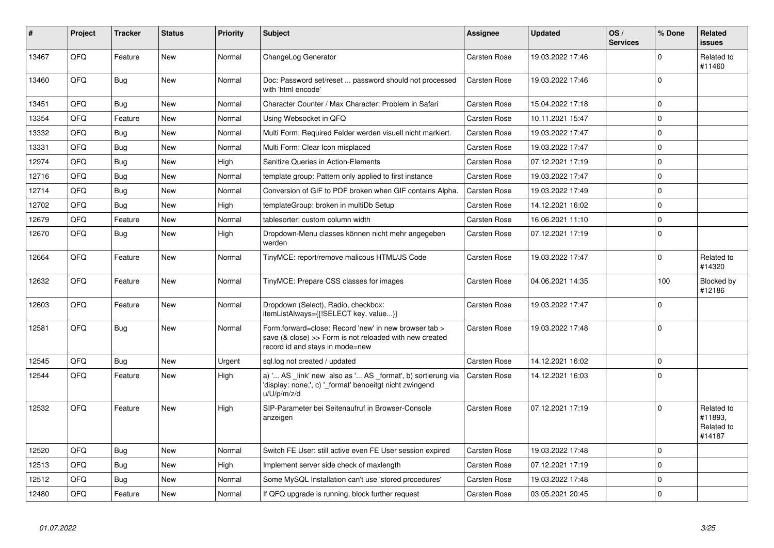| #     | <b>Project</b> | <b>Tracker</b> | <b>Status</b> | <b>Priority</b> | <b>Subject</b>                                                                                                                                      | <b>Assignee</b>     | <b>Updated</b>   | OS/<br><b>Services</b> | % Done       | Related<br>issues                             |
|-------|----------------|----------------|---------------|-----------------|-----------------------------------------------------------------------------------------------------------------------------------------------------|---------------------|------------------|------------------------|--------------|-----------------------------------------------|
| 13467 | QFQ            | Feature        | New           | Normal          | ChangeLog Generator                                                                                                                                 | Carsten Rose        | 19.03.2022 17:46 |                        | $\mathbf{0}$ | Related to<br>#11460                          |
| 13460 | QFQ            | Bug            | New           | Normal          | Doc: Password set/reset  password should not processed<br>with 'html encode'                                                                        | Carsten Rose        | 19.03.2022 17:46 |                        | $\mathbf{0}$ |                                               |
| 13451 | QFQ            | Bug            | <b>New</b>    | Normal          | Character Counter / Max Character: Problem in Safari                                                                                                | Carsten Rose        | 15.04.2022 17:18 |                        | $\pmb{0}$    |                                               |
| 13354 | QFQ            | Feature        | <b>New</b>    | Normal          | Using Websocket in QFQ                                                                                                                              | <b>Carsten Rose</b> | 10.11.2021 15:47 |                        | $\mathbf{0}$ |                                               |
| 13332 | QFQ            | Bug            | <b>New</b>    | Normal          | Multi Form: Required Felder werden visuell nicht markiert.                                                                                          | Carsten Rose        | 19.03.2022 17:47 |                        | $\pmb{0}$    |                                               |
| 13331 | QFQ            | Bug            | <b>New</b>    | Normal          | Multi Form: Clear Icon misplaced                                                                                                                    | <b>Carsten Rose</b> | 19.03.2022 17:47 |                        | $\mathbf 0$  |                                               |
| 12974 | QFQ            | Bug            | New           | High            | Sanitize Queries in Action-Elements                                                                                                                 | Carsten Rose        | 07.12.2021 17:19 |                        | $\pmb{0}$    |                                               |
| 12716 | QFQ            | Bug            | New           | Normal          | template group: Pattern only applied to first instance                                                                                              | <b>Carsten Rose</b> | 19.03.2022 17:47 |                        | $\pmb{0}$    |                                               |
| 12714 | QFQ            | Bug            | <b>New</b>    | Normal          | Conversion of GIF to PDF broken when GIF contains Alpha.                                                                                            | Carsten Rose        | 19.03.2022 17:49 |                        | $\pmb{0}$    |                                               |
| 12702 | QFQ            | <b>Bug</b>     | New           | High            | templateGroup: broken in multiDb Setup                                                                                                              | <b>Carsten Rose</b> | 14.12.2021 16:02 |                        | $\pmb{0}$    |                                               |
| 12679 | QFQ            | Feature        | New           | Normal          | tablesorter: custom column width                                                                                                                    | Carsten Rose        | 16.06.2021 11:10 |                        | 0            |                                               |
| 12670 | QFQ            | Bug            | <b>New</b>    | High            | Dropdown-Menu classes können nicht mehr angegeben<br>werden                                                                                         | Carsten Rose        | 07.12.2021 17:19 |                        | $\mathbf 0$  |                                               |
| 12664 | QFQ            | Feature        | <b>New</b>    | Normal          | TinyMCE: report/remove malicous HTML/JS Code                                                                                                        | <b>Carsten Rose</b> | 19.03.2022 17:47 |                        | $\mathbf 0$  | Related to<br>#14320                          |
| 12632 | QFQ            | Feature        | New           | Normal          | TinyMCE: Prepare CSS classes for images                                                                                                             | <b>Carsten Rose</b> | 04.06.2021 14:35 |                        | 100          | Blocked by<br>#12186                          |
| 12603 | QFQ            | Feature        | New           | Normal          | Dropdown (Select), Radio, checkbox:<br>itemListAlways={{!SELECT key, value}}                                                                        | <b>Carsten Rose</b> | 19.03.2022 17:47 |                        | $\mathbf 0$  |                                               |
| 12581 | QFQ            | <b>Bug</b>     | <b>New</b>    | Normal          | Form.forward=close: Record 'new' in new browser tab ><br>save (& close) >> Form is not reloaded with new created<br>record id and stays in mode=new | Carsten Rose        | 19.03.2022 17:48 |                        | $\mathbf 0$  |                                               |
| 12545 | QFQ            | <b>Bug</b>     | <b>New</b>    | Urgent          | sql.log not created / updated                                                                                                                       | <b>Carsten Rose</b> | 14.12.2021 16:02 |                        | $\mathbf{0}$ |                                               |
| 12544 | QFQ            | Feature        | New           | High            | a) ' AS _link' new also as ' AS _format', b) sortierung via<br>'display: none;', c) ' format' benoeitgt nicht zwingend<br>u/U/p/m/z/d               | <b>Carsten Rose</b> | 14.12.2021 16:03 |                        | $\mathbf 0$  |                                               |
| 12532 | QFQ            | Feature        | <b>New</b>    | High            | SIP-Parameter bei Seitenaufruf in Browser-Console<br>anzeigen                                                                                       | <b>Carsten Rose</b> | 07.12.2021 17:19 |                        | $\mathbf 0$  | Related to<br>#11893,<br>Related to<br>#14187 |
| 12520 | QFQ            | Bug            | <b>New</b>    | Normal          | Switch FE User: still active even FE User session expired                                                                                           | <b>Carsten Rose</b> | 19.03.2022 17:48 |                        | $\mathbf 0$  |                                               |
| 12513 | QFQ            | Bug            | New           | High            | Implement server side check of maxlength                                                                                                            | Carsten Rose        | 07.12.2021 17:19 |                        | $\pmb{0}$    |                                               |
| 12512 | QFQ            | <b>Bug</b>     | New           | Normal          | Some MySQL Installation can't use 'stored procedures'                                                                                               | Carsten Rose        | 19.03.2022 17:48 |                        | $\mathbf 0$  |                                               |
| 12480 | QFQ            | Feature        | New           | Normal          | If QFQ upgrade is running, block further request                                                                                                    | Carsten Rose        | 03.05.2021 20:45 |                        | $\pmb{0}$    |                                               |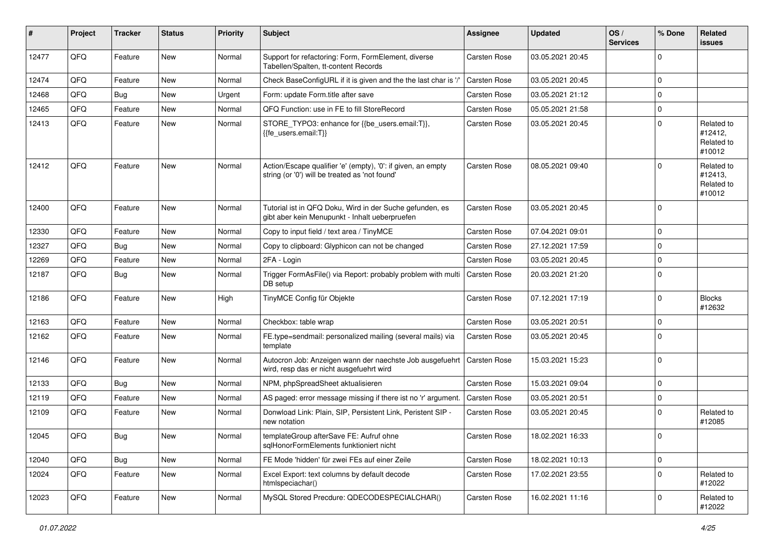| #     | Project        | <b>Tracker</b> | <b>Status</b> | <b>Priority</b> | <b>Subject</b>                                                                                                 | <b>Assignee</b> | <b>Updated</b>   | OS/<br><b>Services</b> | % Done         | Related<br><b>issues</b>                      |
|-------|----------------|----------------|---------------|-----------------|----------------------------------------------------------------------------------------------------------------|-----------------|------------------|------------------------|----------------|-----------------------------------------------|
| 12477 | QFQ            | Feature        | <b>New</b>    | Normal          | Support for refactoring: Form, FormElement, diverse<br>Tabellen/Spalten, tt-content Records                    | Carsten Rose    | 03.05.2021 20:45 |                        | $\mathbf 0$    |                                               |
| 12474 | QFQ            | Feature        | <b>New</b>    | Normal          | Check BaseConfigURL if it is given and the the last char is '/'                                                | Carsten Rose    | 03.05.2021 20:45 |                        | $\mathbf 0$    |                                               |
| 12468 | QFQ            | <b>Bug</b>     | <b>New</b>    | Urgent          | Form: update Form.title after save                                                                             | Carsten Rose    | 03.05.2021 21:12 |                        | $\mathbf 0$    |                                               |
| 12465 | QFQ            | Feature        | <b>New</b>    | Normal          | QFQ Function: use in FE to fill StoreRecord                                                                    | Carsten Rose    | 05.05.2021 21:58 |                        | 0              |                                               |
| 12413 | QFQ            | Feature        | New           | Normal          | STORE_TYPO3: enhance for {{be_users.email:T}},<br>{{fe users.email:T}}                                         | Carsten Rose    | 03.05.2021 20:45 |                        | $\mathbf 0$    | Related to<br>#12412,<br>Related to<br>#10012 |
| 12412 | QFQ            | Feature        | <b>New</b>    | Normal          | Action/Escape qualifier 'e' (empty), '0': if given, an empty<br>string (or '0') will be treated as 'not found' | Carsten Rose    | 08.05.2021 09:40 |                        | $\mathbf 0$    | Related to<br>#12413,<br>Related to<br>#10012 |
| 12400 | QFQ            | Feature        | <b>New</b>    | Normal          | Tutorial ist in QFQ Doku, Wird in der Suche gefunden, es<br>gibt aber kein Menupunkt - Inhalt ueberpruefen     | Carsten Rose    | 03.05.2021 20:45 |                        | $\mathbf 0$    |                                               |
| 12330 | QFQ            | Feature        | <b>New</b>    | Normal          | Copy to input field / text area / TinyMCE                                                                      | Carsten Rose    | 07.04.2021 09:01 |                        | $\mathbf 0$    |                                               |
| 12327 | QFQ            | Bug            | <b>New</b>    | Normal          | Copy to clipboard: Glyphicon can not be changed                                                                | Carsten Rose    | 27.12.2021 17:59 |                        | $\mathbf 0$    |                                               |
| 12269 | QFQ            | Feature        | <b>New</b>    | Normal          | 2FA - Login                                                                                                    | Carsten Rose    | 03.05.2021 20:45 |                        | $\mathbf 0$    |                                               |
| 12187 | QFQ            | Bug            | <b>New</b>    | Normal          | Trigger FormAsFile() via Report: probably problem with multi<br>DB setup                                       | Carsten Rose    | 20.03.2021 21:20 |                        | $\mathbf 0$    |                                               |
| 12186 | QFQ            | Feature        | New           | High            | TinyMCE Config für Objekte                                                                                     | Carsten Rose    | 07.12.2021 17:19 |                        | $\mathbf 0$    | <b>Blocks</b><br>#12632                       |
| 12163 | QFQ            | Feature        | <b>New</b>    | Normal          | Checkbox: table wrap                                                                                           | Carsten Rose    | 03.05.2021 20:51 |                        | $\mathbf 0$    |                                               |
| 12162 | QFQ            | Feature        | <b>New</b>    | Normal          | FE.type=sendmail: personalized mailing (several mails) via<br>template                                         | Carsten Rose    | 03.05.2021 20:45 |                        | 0              |                                               |
| 12146 | QFQ            | Feature        | New           | Normal          | Autocron Job: Anzeigen wann der naechste Job ausgefuehrt<br>wird, resp das er nicht ausgefuehrt wird           | Carsten Rose    | 15.03.2021 15:23 |                        | $\mathbf 0$    |                                               |
| 12133 | QFQ            | Bug            | <b>New</b>    | Normal          | NPM, phpSpreadSheet aktualisieren                                                                              | Carsten Rose    | 15.03.2021 09:04 |                        | 0              |                                               |
| 12119 | QFQ            | Feature        | <b>New</b>    | Normal          | AS paged: error message missing if there ist no 'r' argument.                                                  | Carsten Rose    | 03.05.2021 20:51 |                        | $\mathbf 0$    |                                               |
| 12109 | QFQ            | Feature        | New           | Normal          | Donwload Link: Plain, SIP, Persistent Link, Peristent SIP -<br>new notation                                    | Carsten Rose    | 03.05.2021 20:45 |                        | $\mathbf 0$    | Related to<br>#12085                          |
| 12045 | $\mathsf{QFQ}$ | Bug            | New           | Normal          | templateGroup afterSave FE: Aufruf ohne<br>sqlHonorFormElements funktioniert nicht                             | Carsten Rose    | 18.02.2021 16:33 |                        | $\mathbf 0$    |                                               |
| 12040 | QFQ            | Bug            | New           | Normal          | FE Mode 'hidden' für zwei FEs auf einer Zeile                                                                  | Carsten Rose    | 18.02.2021 10:13 |                        | $\mathbf 0$    |                                               |
| 12024 | QFQ            | Feature        | New           | Normal          | Excel Export: text columns by default decode<br>htmlspeciachar()                                               | Carsten Rose    | 17.02.2021 23:55 |                        | $\mathbf 0$    | Related to<br>#12022                          |
| 12023 | QFQ            | Feature        | New           | Normal          | MySQL Stored Precdure: QDECODESPECIALCHAR()                                                                    | Carsten Rose    | 16.02.2021 11:16 |                        | $\overline{0}$ | Related to<br>#12022                          |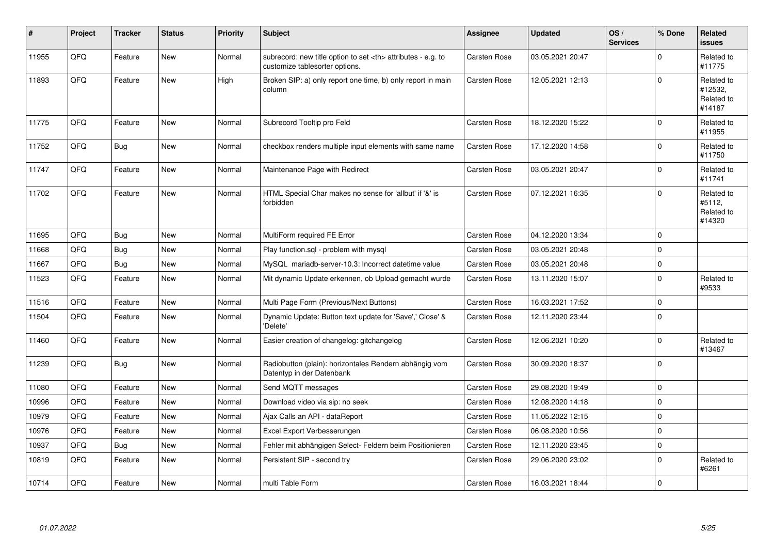| #     | Project | <b>Tracker</b> | <b>Status</b> | <b>Priority</b> | <b>Subject</b>                                                                                       | <b>Assignee</b>                                        | <b>Updated</b>   | OS/<br><b>Services</b> | % Done         | <b>Related</b><br><b>issues</b>               |                      |
|-------|---------|----------------|---------------|-----------------|------------------------------------------------------------------------------------------------------|--------------------------------------------------------|------------------|------------------------|----------------|-----------------------------------------------|----------------------|
| 11955 | QFQ     | Feature        | <b>New</b>    | Normal          | subrecord: new title option to set <th> attributes - e.g. to<br/>customize tablesorter options.</th> | attributes - e.g. to<br>customize tablesorter options. | Carsten Rose     | 03.05.2021 20:47       |                | $\Omega$                                      | Related to<br>#11775 |
| 11893 | QFQ     | Feature        | New           | High            | Broken SIP: a) only report one time, b) only report in main<br>column                                | Carsten Rose                                           | 12.05.2021 12:13 |                        | $\Omega$       | Related to<br>#12532,<br>Related to<br>#14187 |                      |
| 11775 | QFQ     | Feature        | <b>New</b>    | Normal          | Subrecord Tooltip pro Feld                                                                           | Carsten Rose                                           | 18.12.2020 15:22 |                        | $\Omega$       | Related to<br>#11955                          |                      |
| 11752 | QFQ     | Bug            | <b>New</b>    | Normal          | checkbox renders multiple input elements with same name                                              | Carsten Rose                                           | 17.12.2020 14:58 |                        | $\mathbf 0$    | Related to<br>#11750                          |                      |
| 11747 | QFQ     | Feature        | <b>New</b>    | Normal          | Maintenance Page with Redirect                                                                       | Carsten Rose                                           | 03.05.2021 20:47 |                        | $\mathbf{0}$   | Related to<br>#11741                          |                      |
| 11702 | QFQ     | Feature        | <b>New</b>    | Normal          | HTML Special Char makes no sense for 'allbut' if '&' is<br>forbidden                                 | Carsten Rose                                           | 07.12.2021 16:35 |                        | $\Omega$       | Related to<br>#5112,<br>Related to<br>#14320  |                      |
| 11695 | QFQ     | Bug            | <b>New</b>    | Normal          | MultiForm required FE Error                                                                          | Carsten Rose                                           | 04.12.2020 13:34 |                        | $\mathbf 0$    |                                               |                      |
| 11668 | QFQ     | Bug            | <b>New</b>    | Normal          | Play function.sql - problem with mysql                                                               | Carsten Rose                                           | 03.05.2021 20:48 |                        | $\mathbf 0$    |                                               |                      |
| 11667 | QFQ     | Bug            | <b>New</b>    | Normal          | MySQL mariadb-server-10.3: Incorrect datetime value                                                  | Carsten Rose                                           | 03.05.2021 20:48 |                        | $\mathbf{0}$   |                                               |                      |
| 11523 | QFQ     | Feature        | <b>New</b>    | Normal          | Mit dynamic Update erkennen, ob Upload gemacht wurde                                                 | Carsten Rose                                           | 13.11.2020 15:07 |                        | $\overline{0}$ | Related to<br>#9533                           |                      |
| 11516 | QFQ     | Feature        | New           | Normal          | Multi Page Form (Previous/Next Buttons)                                                              | Carsten Rose                                           | 16.03.2021 17:52 |                        | 0              |                                               |                      |
| 11504 | QFQ     | Feature        | New           | Normal          | Dynamic Update: Button text update for 'Save',' Close' &<br>'Delete'                                 | Carsten Rose                                           | 12.11.2020 23:44 |                        | $\overline{0}$ |                                               |                      |
| 11460 | QFQ     | Feature        | <b>New</b>    | Normal          | Easier creation of changelog: gitchangelog                                                           | Carsten Rose                                           | 12.06.2021 10:20 |                        | $\mathbf{0}$   | Related to<br>#13467                          |                      |
| 11239 | QFQ     | <b>Bug</b>     | <b>New</b>    | Normal          | Radiobutton (plain): horizontales Rendern abhängig vom<br>Datentyp in der Datenbank                  | Carsten Rose                                           | 30.09.2020 18:37 |                        | $\mathbf 0$    |                                               |                      |
| 11080 | QFQ     | Feature        | <b>New</b>    | Normal          | Send MQTT messages                                                                                   | Carsten Rose                                           | 29.08.2020 19:49 |                        | $\mathbf{0}$   |                                               |                      |
| 10996 | QFQ     | Feature        | <b>New</b>    | Normal          | Download video via sip: no seek                                                                      | Carsten Rose                                           | 12.08.2020 14:18 |                        | $\mathbf{0}$   |                                               |                      |
| 10979 | QFQ     | Feature        | <b>New</b>    | Normal          | Ajax Calls an API - dataReport                                                                       | Carsten Rose                                           | 11.05.2022 12:15 |                        | $\mathbf 0$    |                                               |                      |
| 10976 | QFQ     | Feature        | New           | Normal          | Excel Export Verbesserungen                                                                          | Carsten Rose                                           | 06.08.2020 10:56 |                        | $\pmb{0}$      |                                               |                      |
| 10937 | QFQ     | Bug            | <b>New</b>    | Normal          | Fehler mit abhängigen Select- Feldern beim Positionieren                                             | Carsten Rose                                           | 12.11.2020 23:45 |                        | $\mathsf 0$    |                                               |                      |
| 10819 | QFQ     | Feature        | New           | Normal          | Persistent SIP - second try                                                                          | Carsten Rose                                           | 29.06.2020 23:02 |                        | $\overline{0}$ | Related to<br>#6261                           |                      |
| 10714 | QFQ     | Feature        | New           | Normal          | multi Table Form                                                                                     | Carsten Rose                                           | 16.03.2021 18:44 |                        | $\mathbf 0$    |                                               |                      |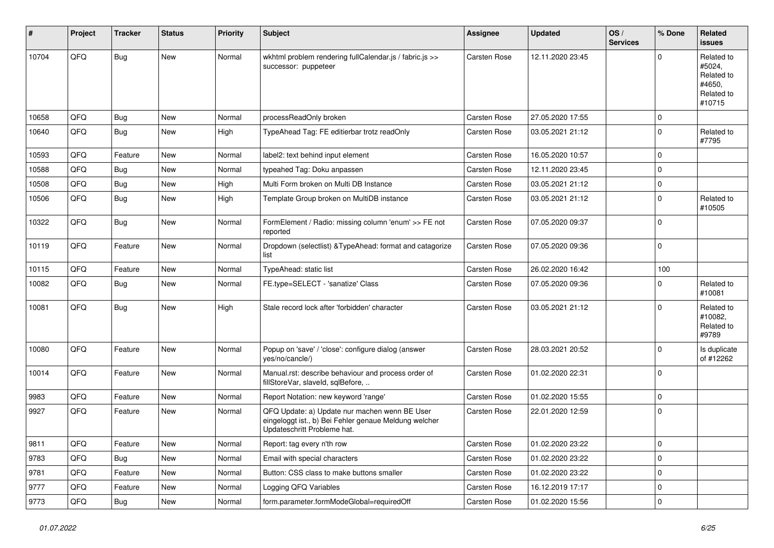| #     | Project | <b>Tracker</b> | <b>Status</b> | <b>Priority</b> | <b>Subject</b>                                                                                                                        | <b>Assignee</b>     | <b>Updated</b>   | OS/<br><b>Services</b> | % Done         | <b>Related</b><br>issues                                             |
|-------|---------|----------------|---------------|-----------------|---------------------------------------------------------------------------------------------------------------------------------------|---------------------|------------------|------------------------|----------------|----------------------------------------------------------------------|
| 10704 | QFQ     | <b>Bug</b>     | New           | Normal          | wkhtml problem rendering fullCalendar.js / fabric.js >><br>successor: puppeteer                                                       | Carsten Rose        | 12.11.2020 23:45 |                        | $\Omega$       | Related to<br>#5024,<br>Related to<br>#4650,<br>Related to<br>#10715 |
| 10658 | QFQ     | <b>Bug</b>     | <b>New</b>    | Normal          | processReadOnly broken                                                                                                                | <b>Carsten Rose</b> | 27.05.2020 17:55 |                        | $\mathbf 0$    |                                                                      |
| 10640 | QFQ     | Bug            | New           | High            | TypeAhead Tag: FE editierbar trotz readOnly                                                                                           | Carsten Rose        | 03.05.2021 21:12 |                        | $\mathbf 0$    | Related to<br>#7795                                                  |
| 10593 | QFQ     | Feature        | New           | Normal          | label2: text behind input element                                                                                                     | <b>Carsten Rose</b> | 16.05.2020 10:57 |                        | $\mathbf 0$    |                                                                      |
| 10588 | QFQ     | Bug            | New           | Normal          | typeahed Tag: Doku anpassen                                                                                                           | <b>Carsten Rose</b> | 12.11.2020 23:45 |                        | $\mathbf 0$    |                                                                      |
| 10508 | QFQ     | <b>Bug</b>     | <b>New</b>    | High            | Multi Form broken on Multi DB Instance                                                                                                | <b>Carsten Rose</b> | 03.05.2021 21:12 |                        | $\mathbf 0$    |                                                                      |
| 10506 | QFQ     | <b>Bug</b>     | New           | High            | Template Group broken on MultiDB instance                                                                                             | Carsten Rose        | 03.05.2021 21:12 |                        | $\mathbf 0$    | Related to<br>#10505                                                 |
| 10322 | QFQ     | <b>Bug</b>     | New           | Normal          | FormElement / Radio: missing column 'enum' >> FE not<br>reported                                                                      | <b>Carsten Rose</b> | 07.05.2020 09:37 |                        | $\mathbf 0$    |                                                                      |
| 10119 | QFQ     | Feature        | New           | Normal          | Dropdown (selectlist) & TypeAhead: format and catagorize<br>list                                                                      | <b>Carsten Rose</b> | 07.05.2020 09:36 |                        | $\mathbf 0$    |                                                                      |
| 10115 | QFQ     | Feature        | New           | Normal          | TypeAhead: static list                                                                                                                | <b>Carsten Rose</b> | 26.02.2020 16:42 |                        | 100            |                                                                      |
| 10082 | QFQ     | Bug            | New           | Normal          | FE.type=SELECT - 'sanatize' Class                                                                                                     | <b>Carsten Rose</b> | 07.05.2020 09:36 |                        | $\Omega$       | Related to<br>#10081                                                 |
| 10081 | QFQ     | Bug            | <b>New</b>    | High            | Stale record lock after 'forbidden' character                                                                                         | <b>Carsten Rose</b> | 03.05.2021 21:12 |                        | $\Omega$       | Related to<br>#10082,<br>Related to<br>#9789                         |
| 10080 | QFQ     | Feature        | New           | Normal          | Popup on 'save' / 'close': configure dialog (answer<br>yes/no/cancle/)                                                                | <b>Carsten Rose</b> | 28.03.2021 20:52 |                        | $\Omega$       | Is duplicate<br>of #12262                                            |
| 10014 | QFQ     | Feature        | New           | Normal          | Manual.rst: describe behaviour and process order of<br>fillStoreVar, slaveId, sqlBefore,                                              | Carsten Rose        | 01.02.2020 22:31 |                        | $\mathbf 0$    |                                                                      |
| 9983  | QFQ     | Feature        | New           | Normal          | Report Notation: new keyword 'range'                                                                                                  | <b>Carsten Rose</b> | 01.02.2020 15:55 |                        | $\mathbf 0$    |                                                                      |
| 9927  | QFQ     | Feature        | New           | Normal          | QFQ Update: a) Update nur machen wenn BE User<br>eingeloggt ist., b) Bei Fehler genaue Meldung welcher<br>Updateschritt Probleme hat. | Carsten Rose        | 22.01.2020 12:59 |                        | $\mathbf 0$    |                                                                      |
| 9811  | QFQ     | Feature        | New           | Normal          | Report: tag every n'th row                                                                                                            | Carsten Rose        | 01.02.2020 23:22 |                        | $\overline{0}$ |                                                                      |
| 9783  | QFQ     | <b>Bug</b>     | New           | Normal          | Email with special characters                                                                                                         | Carsten Rose        | 01.02.2020 23:22 |                        | 0              |                                                                      |
| 9781  | QFQ     | Feature        | New           | Normal          | Button: CSS class to make buttons smaller                                                                                             | Carsten Rose        | 01.02.2020 23:22 |                        | $\mathbf 0$    |                                                                      |
| 9777  | QFQ     | Feature        | New           | Normal          | Logging QFQ Variables                                                                                                                 | Carsten Rose        | 16.12.2019 17:17 |                        | $\mathbf 0$    |                                                                      |
| 9773  | QFQ     | Bug            | New           | Normal          | form.parameter.formModeGlobal=requiredOff                                                                                             | Carsten Rose        | 01.02.2020 15:56 |                        | $\pmb{0}$      |                                                                      |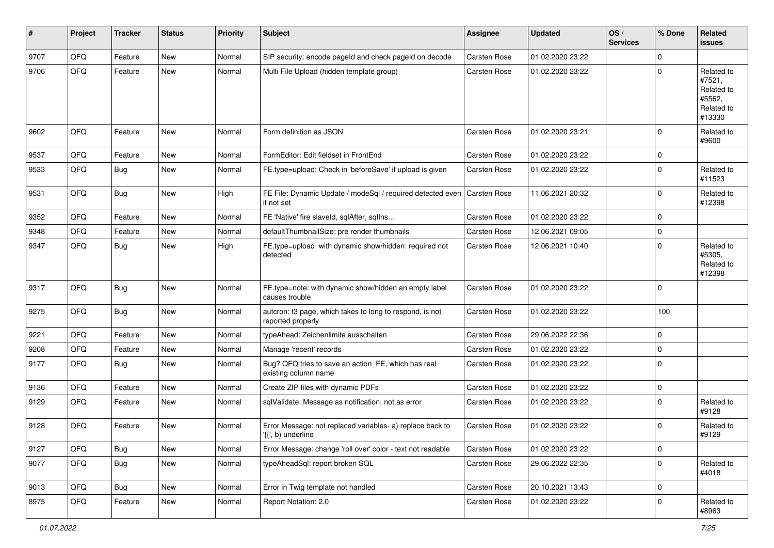| #    | Project | <b>Tracker</b> | <b>Status</b> | <b>Priority</b> | <b>Subject</b>                                                                  | <b>Assignee</b> | <b>Updated</b>   | OS/<br><b>Services</b> | % Done      | <b>Related</b><br>issues                                             |
|------|---------|----------------|---------------|-----------------|---------------------------------------------------------------------------------|-----------------|------------------|------------------------|-------------|----------------------------------------------------------------------|
| 9707 | QFQ     | Feature        | <b>New</b>    | Normal          | SIP security: encode pageId and check pageId on decode                          | Carsten Rose    | 01.02.2020 23:22 |                        | $\mathbf 0$ |                                                                      |
| 9706 | QFQ     | Feature        | <b>New</b>    | Normal          | Multi File Upload (hidden template group)                                       | Carsten Rose    | 01.02.2020 23:22 |                        | $\mathbf 0$ | Related to<br>#7521,<br>Related to<br>#5562.<br>Related to<br>#13330 |
| 9602 | QFQ     | Feature        | <b>New</b>    | Normal          | Form definition as JSON                                                         | Carsten Rose    | 01.02.2020 23:21 |                        | $\mathbf 0$ | Related to<br>#9600                                                  |
| 9537 | QFQ     | Feature        | New           | Normal          | FormEditor: Edit fieldset in FrontEnd                                           | Carsten Rose    | 01.02.2020 23:22 |                        | 0           |                                                                      |
| 9533 | QFQ     | Bug            | <b>New</b>    | Normal          | FE.type=upload: Check in 'beforeSave' if upload is given                        | Carsten Rose    | 01.02.2020 23:22 |                        | $\mathbf 0$ | Related to<br>#11523                                                 |
| 9531 | QFQ     | <b>Bug</b>     | New           | High            | FE File: Dynamic Update / modeSql / required detected even<br>it not set        | Carsten Rose    | 11.06.2021 20:32 |                        | $\mathbf 0$ | Related to<br>#12398                                                 |
| 9352 | QFQ     | Feature        | New           | Normal          | FE 'Native' fire slaveld, sqlAfter, sqlIns                                      | Carsten Rose    | 01.02.2020 23:22 |                        | 0           |                                                                      |
| 9348 | QFQ     | Feature        | New           | Normal          | defaultThumbnailSize: pre render thumbnails                                     | Carsten Rose    | 12.06.2021 09:05 |                        | 0           |                                                                      |
| 9347 | QFQ     | Bug            | <b>New</b>    | High            | FE.type=upload with dynamic show/hidden: required not<br>detected               | Carsten Rose    | 12.06.2021 10:40 |                        | $\mathbf 0$ | Related to<br>#5305.<br>Related to<br>#12398                         |
| 9317 | QFQ     | <b>Bug</b>     | New           | Normal          | FE.type=note: with dynamic show/hidden an empty label<br>causes trouble         | Carsten Rose    | 01.02.2020 23:22 |                        | $\mathbf 0$ |                                                                      |
| 9275 | QFQ     | <b>Bug</b>     | <b>New</b>    | Normal          | autcron: t3 page, which takes to long to respond, is not<br>reported properly   | Carsten Rose    | 01.02.2020 23:22 |                        | 100         |                                                                      |
| 9221 | QFQ     | Feature        | New           | Normal          | typeAhead: Zeichenlimite ausschalten                                            | Carsten Rose    | 29.06.2022 22:36 |                        | $\mathbf 0$ |                                                                      |
| 9208 | QFQ     | Feature        | <b>New</b>    | Normal          | Manage 'recent' records                                                         | Carsten Rose    | 01.02.2020 23:22 |                        | 0           |                                                                      |
| 9177 | QFQ     | Bug            | <b>New</b>    | Normal          | Bug? QFQ tries to save an action FE, which has real<br>existing column name     | Carsten Rose    | 01.02.2020 23:22 |                        | $\mathbf 0$ |                                                                      |
| 9136 | QFQ     | Feature        | <b>New</b>    | Normal          | Create ZIP files with dynamic PDFs                                              | Carsten Rose    | 01.02.2020 23:22 |                        | 0           |                                                                      |
| 9129 | QFQ     | Feature        | New           | Normal          | sqlValidate: Message as notification, not as error                              | Carsten Rose    | 01.02.2020 23:22 |                        | $\mathbf 0$ | Related to<br>#9128                                                  |
| 9128 | QFQ     | Feature        | New           | Normal          | Error Message: not replaced variables- a) replace back to<br>'{{', b) underline | Carsten Rose    | 01.02.2020 23:22 |                        | $\mathbf 0$ | Related to<br>#9129                                                  |
| 9127 | QFQ     | <b>Bug</b>     | New           | Normal          | Error Message: change 'roll over' color - text not readable                     | Carsten Rose    | 01.02.2020 23:22 |                        | $\mathbf 0$ |                                                                      |
| 9077 | QFQ     | <b>Bug</b>     | New           | Normal          | typeAheadSql: report broken SQL                                                 | Carsten Rose    | 29.06.2022 22:35 |                        | $\mathsf 0$ | Related to<br>#4018                                                  |
| 9013 | QFQ     | <b>Bug</b>     | New           | Normal          | Error in Twig template not handled                                              | Carsten Rose    | 20.10.2021 13:43 |                        | $\mathbf 0$ |                                                                      |
| 8975 | QFQ     | Feature        | New           | Normal          | Report Notation: 2.0                                                            | Carsten Rose    | 01.02.2020 23:22 |                        | 0           | Related to<br>#8963                                                  |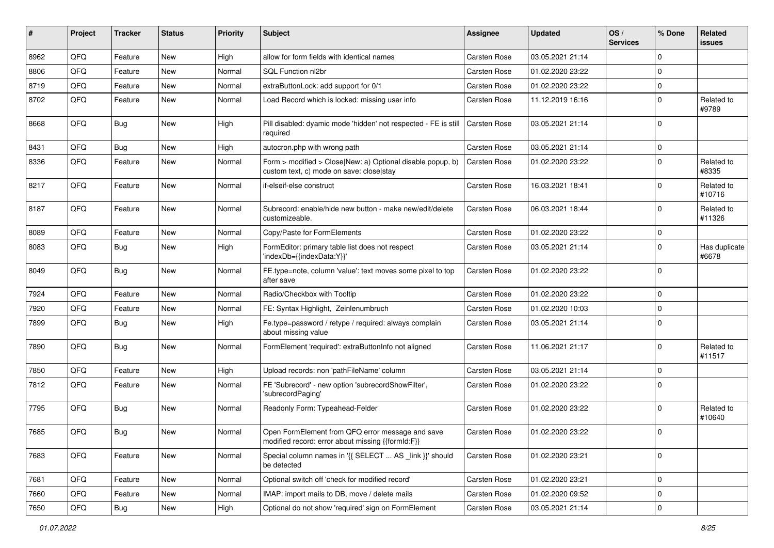| ∦    | Project | <b>Tracker</b> | <b>Status</b> | <b>Priority</b> | <b>Subject</b>                                                                                         | <b>Assignee</b> | <b>Updated</b>   | OS/<br><b>Services</b> | % Done      | <b>Related</b><br>issues |
|------|---------|----------------|---------------|-----------------|--------------------------------------------------------------------------------------------------------|-----------------|------------------|------------------------|-------------|--------------------------|
| 8962 | QFQ     | Feature        | <b>New</b>    | High            | allow for form fields with identical names                                                             | Carsten Rose    | 03.05.2021 21:14 |                        | 0           |                          |
| 8806 | QFQ     | Feature        | <b>New</b>    | Normal          | <b>SQL Function nl2br</b>                                                                              | Carsten Rose    | 01.02.2020 23:22 |                        | 0           |                          |
| 8719 | QFQ     | Feature        | New           | Normal          | extraButtonLock: add support for 0/1                                                                   | Carsten Rose    | 01.02.2020 23:22 |                        | $\mathbf 0$ |                          |
| 8702 | QFQ     | Feature        | <b>New</b>    | Normal          | Load Record which is locked: missing user info                                                         | Carsten Rose    | 11.12.2019 16:16 |                        | $\mathbf 0$ | Related to<br>#9789      |
| 8668 | QFQ     | Bug            | <b>New</b>    | High            | Pill disabled: dyamic mode 'hidden' not respected - FE is still<br>required                            | Carsten Rose    | 03.05.2021 21:14 |                        | $\mathbf 0$ |                          |
| 8431 | QFQ     | Bug            | <b>New</b>    | High            | autocron.php with wrong path                                                                           | Carsten Rose    | 03.05.2021 21:14 |                        | 0           |                          |
| 8336 | QFQ     | Feature        | <b>New</b>    | Normal          | Form > modified > Close New: a) Optional disable popup, b)<br>custom text, c) mode on save: close stay | Carsten Rose    | 01.02.2020 23:22 |                        | 0           | Related to<br>#8335      |
| 8217 | QFQ     | Feature        | New           | Normal          | if-elseif-else construct                                                                               | Carsten Rose    | 16.03.2021 18:41 |                        | 0           | Related to<br>#10716     |
| 8187 | QFQ     | Feature        | New           | Normal          | Subrecord: enable/hide new button - make new/edit/delete<br>customizeable.                             | Carsten Rose    | 06.03.2021 18:44 |                        | 0           | Related to<br>#11326     |
| 8089 | QFQ     | Feature        | <b>New</b>    | Normal          | Copy/Paste for FormElements                                                                            | Carsten Rose    | 01.02.2020 23:22 |                        | 0           |                          |
| 8083 | QFQ     | Bug            | New           | High            | FormEditor: primary table list does not respect<br>'indexDb={{indexData:Y}}'                           | Carsten Rose    | 03.05.2021 21:14 |                        | $\mathbf 0$ | Has duplicate<br>#6678   |
| 8049 | QFQ     | Bug            | New           | Normal          | FE.type=note, column 'value': text moves some pixel to top<br>after save                               | Carsten Rose    | 01.02.2020 23:22 |                        | $\mathbf 0$ |                          |
| 7924 | QFQ     | Feature        | <b>New</b>    | Normal          | Radio/Checkbox with Tooltip                                                                            | Carsten Rose    | 01.02.2020 23:22 |                        | $\mathbf 0$ |                          |
| 7920 | QFQ     | Feature        | New           | Normal          | FE: Syntax Highlight, Zeinlenumbruch                                                                   | Carsten Rose    | 01.02.2020 10:03 |                        | 0           |                          |
| 7899 | QFQ     | Bug            | New           | High            | Fe.type=password / retype / required: always complain<br>about missing value                           | Carsten Rose    | 03.05.2021 21:14 |                        | $\Omega$    |                          |
| 7890 | QFQ     | Bug            | New           | Normal          | FormElement 'required': extraButtonInfo not aligned                                                    | Carsten Rose    | 11.06.2021 21:17 |                        | 0           | Related to<br>#11517     |
| 7850 | QFQ     | Feature        | New           | High            | Upload records: non 'pathFileName' column                                                              | Carsten Rose    | 03.05.2021 21:14 |                        | 0           |                          |
| 7812 | QFQ     | Feature        | New           | Normal          | FE 'Subrecord' - new option 'subrecordShowFilter',<br>'subrecordPaging'                                | Carsten Rose    | 01.02.2020 23:22 |                        | 0           |                          |
| 7795 | QFQ     | Bug            | <b>New</b>    | Normal          | Readonly Form: Typeahead-Felder                                                                        | Carsten Rose    | 01.02.2020 23:22 |                        | $\mathbf 0$ | Related to<br>#10640     |
| 7685 | QFQ     | <b>Bug</b>     | <b>New</b>    | Normal          | Open FormElement from QFQ error message and save<br>modified record: error about missing {{formId:F}}  | Carsten Rose    | 01.02.2020 23:22 |                        | $\mathbf 0$ |                          |
| 7683 | QFQ     | Feature        | New           | Normal          | Special column names in '{{ SELECT  AS _link }}' should<br>be detected                                 | Carsten Rose    | 01.02.2020 23:21 |                        | 0           |                          |
| 7681 | QFQ     | Feature        | New           | Normal          | Optional switch off 'check for modified record'                                                        | Carsten Rose    | 01.02.2020 23:21 |                        | 0           |                          |
| 7660 | QFQ     | Feature        | New           | Normal          | IMAP: import mails to DB, move / delete mails                                                          | Carsten Rose    | 01.02.2020 09:52 |                        | 0           |                          |
| 7650 | QFQ     | Bug            | New           | High            | Optional do not show 'required' sign on FormElement                                                    | Carsten Rose    | 03.05.2021 21:14 |                        | 0           |                          |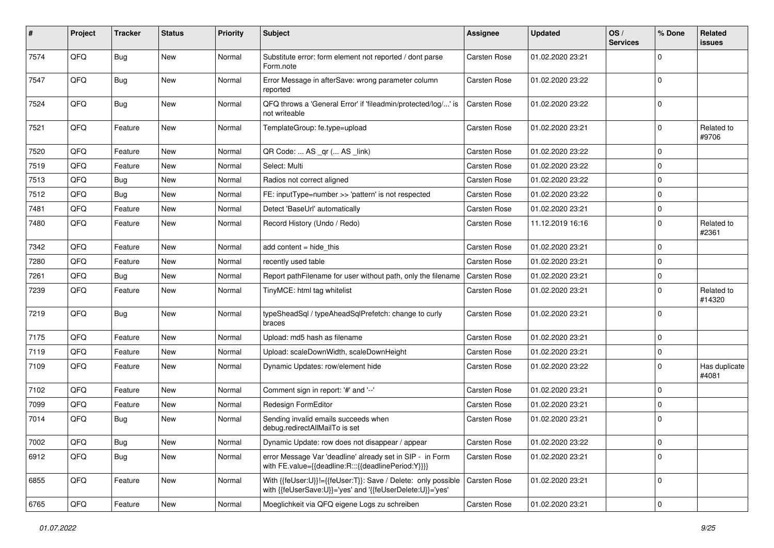| $\sharp$ | Project | <b>Tracker</b> | <b>Status</b> | <b>Priority</b> | <b>Subject</b>                                                                                                             | <b>Assignee</b>     | <b>Updated</b>   | OS/<br><b>Services</b> | % Done      | Related<br>issues      |
|----------|---------|----------------|---------------|-----------------|----------------------------------------------------------------------------------------------------------------------------|---------------------|------------------|------------------------|-------------|------------------------|
| 7574     | QFQ     | <b>Bug</b>     | New           | Normal          | Substitute error: form element not reported / dont parse<br>Form.note                                                      | Carsten Rose        | 01.02.2020 23:21 |                        | $\Omega$    |                        |
| 7547     | QFQ     | Bug            | <b>New</b>    | Normal          | Error Message in afterSave: wrong parameter column<br>reported                                                             | Carsten Rose        | 01.02.2020 23:22 |                        | $\mathbf 0$ |                        |
| 7524     | QFQ     | <b>Bug</b>     | <b>New</b>    | Normal          | QFQ throws a 'General Error' if 'fileadmin/protected/log/' is<br>not writeable                                             | Carsten Rose        | 01.02.2020 23:22 |                        | $\Omega$    |                        |
| 7521     | QFQ     | Feature        | New           | Normal          | TemplateGroup: fe.type=upload                                                                                              | <b>Carsten Rose</b> | 01.02.2020 23:21 |                        | $\Omega$    | Related to<br>#9706    |
| 7520     | QFQ     | Feature        | New           | Normal          | QR Code:  AS _qr ( AS _link)                                                                                               | <b>Carsten Rose</b> | 01.02.2020 23:22 |                        | $\Omega$    |                        |
| 7519     | QFQ     | Feature        | <b>New</b>    | Normal          | Select: Multi                                                                                                              | Carsten Rose        | 01.02.2020 23:22 |                        | $\Omega$    |                        |
| 7513     | QFQ     | <b>Bug</b>     | <b>New</b>    | Normal          | Radios not correct aligned                                                                                                 | <b>Carsten Rose</b> | 01.02.2020 23:22 |                        | $\Omega$    |                        |
| 7512     | QFQ     | <b>Bug</b>     | New           | Normal          | FE: inputType=number >> 'pattern' is not respected                                                                         | <b>Carsten Rose</b> | 01.02.2020 23:22 |                        | $\Omega$    |                        |
| 7481     | QFQ     | Feature        | New           | Normal          | Detect 'BaseUrl' automatically                                                                                             | <b>Carsten Rose</b> | 01.02.2020 23:21 |                        | $\Omega$    |                        |
| 7480     | QFQ     | Feature        | <b>New</b>    | Normal          | Record History (Undo / Redo)                                                                                               | <b>Carsten Rose</b> | 11.12.2019 16:16 |                        | $\Omega$    | Related to<br>#2361    |
| 7342     | QFQ     | Feature        | <b>New</b>    | Normal          | add content = hide_this                                                                                                    | <b>Carsten Rose</b> | 01.02.2020 23:21 |                        | $\Omega$    |                        |
| 7280     | QFQ     | Feature        | <b>New</b>    | Normal          | recently used table                                                                                                        | <b>Carsten Rose</b> | 01.02.2020 23:21 |                        | $\Omega$    |                        |
| 7261     | QFQ     | Bug            | <b>New</b>    | Normal          | Report pathFilename for user without path, only the filename                                                               | <b>Carsten Rose</b> | 01.02.2020 23:21 |                        | $\mathbf 0$ |                        |
| 7239     | QFQ     | Feature        | New           | Normal          | TinyMCE: html tag whitelist                                                                                                | Carsten Rose        | 01.02.2020 23:21 |                        | $\Omega$    | Related to<br>#14320   |
| 7219     | QFQ     | Bug            | New           | Normal          | typeSheadSql / typeAheadSqlPrefetch: change to curly<br>braces                                                             | Carsten Rose        | 01.02.2020 23:21 |                        | $\Omega$    |                        |
| 7175     | QFQ     | Feature        | New           | Normal          | Upload: md5 hash as filename                                                                                               | Carsten Rose        | 01.02.2020 23:21 |                        | $\mathbf 0$ |                        |
| 7119     | QFQ     | Feature        | <b>New</b>    | Normal          | Upload: scaleDownWidth, scaleDownHeight                                                                                    | Carsten Rose        | 01.02.2020 23:21 |                        | $\Omega$    |                        |
| 7109     | QFQ     | Feature        | <b>New</b>    | Normal          | Dynamic Updates: row/element hide                                                                                          | <b>Carsten Rose</b> | 01.02.2020 23:22 |                        | $\Omega$    | Has duplicate<br>#4081 |
| 7102     | QFQ     | Feature        | <b>New</b>    | Normal          | Comment sign in report: '#' and '--'                                                                                       | Carsten Rose        | 01.02.2020 23:21 |                        | $\Omega$    |                        |
| 7099     | QFQ     | Feature        | <b>New</b>    | Normal          | Redesign FormEditor                                                                                                        | Carsten Rose        | 01.02.2020 23:21 |                        | $\Omega$    |                        |
| 7014     | QFQ     | <b>Bug</b>     | <b>New</b>    | Normal          | Sending invalid emails succeeds when<br>debug.redirectAllMailTo is set                                                     | <b>Carsten Rose</b> | 01.02.2020 23:21 |                        | $\Omega$    |                        |
| 7002     | QFQ     | Bug            | New           | Normal          | Dynamic Update: row does not disappear / appear                                                                            | Carsten Rose        | 01.02.2020 23:22 |                        | 0           |                        |
| 6912     | QFQ     | Bug            | New           | Normal          | error Message Var 'deadline' already set in SIP - in Form<br>with FE.value={{deadline:R:::{{deadlinePeriod:Y}}}}           | Carsten Rose        | 01.02.2020 23:21 |                        | $\Omega$    |                        |
| 6855     | QFQ     | Feature        | New           | Normal          | With {{feUser:U}}!={{feUser:T}}: Save / Delete: only possible<br>with {{feUserSave:U}}='yes' and '{{feUserDelete:U}}='yes' | Carsten Rose        | 01.02.2020 23:21 |                        | 0           |                        |
| 6765     | QFQ     | Feature        | New           | Normal          | Moeglichkeit via QFQ eigene Logs zu schreiben                                                                              | Carsten Rose        | 01.02.2020 23:21 |                        | $\pmb{0}$   |                        |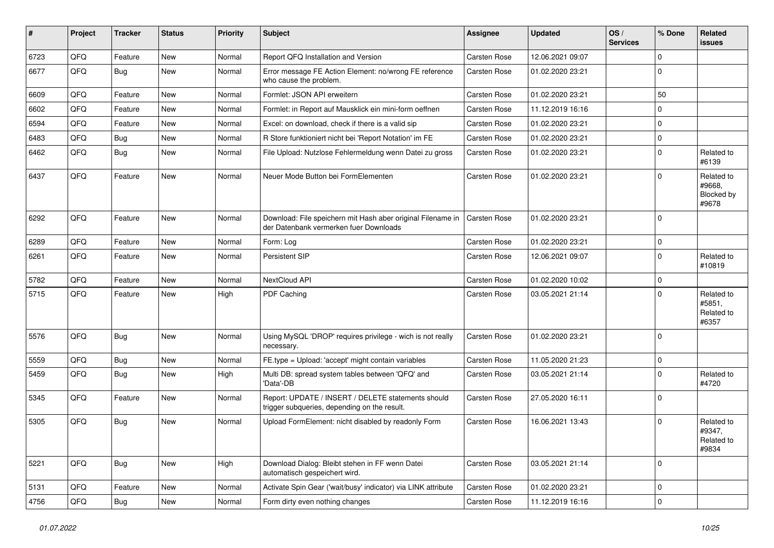| #    | Project | <b>Tracker</b> | <b>Status</b> | <b>Priority</b> | <b>Subject</b>                                                                                        | Assignee            | <b>Updated</b>   | OS/<br><b>Services</b> | % Done      | <b>Related</b><br>issues                    |
|------|---------|----------------|---------------|-----------------|-------------------------------------------------------------------------------------------------------|---------------------|------------------|------------------------|-------------|---------------------------------------------|
| 6723 | QFQ     | Feature        | New           | Normal          | Report QFQ Installation and Version                                                                   | Carsten Rose        | 12.06.2021 09:07 |                        | $\mathbf 0$ |                                             |
| 6677 | QFQ     | Bug            | New           | Normal          | Error message FE Action Element: no/wrong FE reference<br>who cause the problem.                      | Carsten Rose        | 01.02.2020 23:21 |                        | $\mathbf 0$ |                                             |
| 6609 | QFQ     | Feature        | <b>New</b>    | Normal          | Formlet: JSON API erweitern                                                                           | Carsten Rose        | 01.02.2020 23:21 |                        | 50          |                                             |
| 6602 | QFQ     | Feature        | New           | Normal          | Formlet: in Report auf Mausklick ein mini-form oeffnen                                                | Carsten Rose        | 11.12.2019 16:16 |                        | $\mathbf 0$ |                                             |
| 6594 | QFQ     | Feature        | <b>New</b>    | Normal          | Excel: on download, check if there is a valid sip                                                     | Carsten Rose        | 01.02.2020 23:21 |                        | $\mathbf 0$ |                                             |
| 6483 | QFQ     | Bug            | <b>New</b>    | Normal          | R Store funktioniert nicht bei 'Report Notation' im FE                                                | Carsten Rose        | 01.02.2020 23:21 |                        | $\mathbf 0$ |                                             |
| 6462 | QFQ     | Bug            | New           | Normal          | File Upload: Nutzlose Fehlermeldung wenn Datei zu gross                                               | Carsten Rose        | 01.02.2020 23:21 |                        | $\mathbf 0$ | Related to<br>#6139                         |
| 6437 | QFQ     | Feature        | New           | Normal          | Neuer Mode Button bei FormElementen                                                                   | Carsten Rose        | 01.02.2020 23:21 |                        | $\mathbf 0$ | Related to<br>#9668.<br>Blocked by<br>#9678 |
| 6292 | QFQ     | Feature        | New           | Normal          | Download: File speichern mit Hash aber original Filename in<br>der Datenbank vermerken fuer Downloads | <b>Carsten Rose</b> | 01.02.2020 23:21 |                        | $\Omega$    |                                             |
| 6289 | QFQ     | Feature        | New           | Normal          | Form: Log                                                                                             | Carsten Rose        | 01.02.2020 23:21 |                        | 0           |                                             |
| 6261 | QFQ     | Feature        | New           | Normal          | <b>Persistent SIP</b>                                                                                 | Carsten Rose        | 12.06.2021 09:07 |                        | $\mathbf 0$ | Related to<br>#10819                        |
| 5782 | QFQ     | Feature        | New           | Normal          | NextCloud API                                                                                         | Carsten Rose        | 01.02.2020 10:02 |                        | 0           |                                             |
| 5715 | QFQ     | Feature        | New           | High            | PDF Caching                                                                                           | Carsten Rose        | 03.05.2021 21:14 |                        | $\mathbf 0$ | Related to<br>#5851,<br>Related to<br>#6357 |
| 5576 | QFQ     | Bug            | New           | Normal          | Using MySQL 'DROP' requires privilege - wich is not really<br>necessary.                              | Carsten Rose        | 01.02.2020 23:21 |                        | $\mathbf 0$ |                                             |
| 5559 | QFQ     | <b>Bug</b>     | New           | Normal          | FE.type = Upload: 'accept' might contain variables                                                    | Carsten Rose        | 11.05.2020 21:23 |                        | $\mathbf 0$ |                                             |
| 5459 | QFQ     | Bug            | New           | High            | Multi DB: spread system tables between 'QFQ' and<br>'Data'-DB                                         | Carsten Rose        | 03.05.2021 21:14 |                        | $\mathbf 0$ | Related to<br>#4720                         |
| 5345 | QFQ     | Feature        | New           | Normal          | Report: UPDATE / INSERT / DELETE statements should<br>trigger subqueries, depending on the result.    | Carsten Rose        | 27.05.2020 16:11 |                        | $\mathbf 0$ |                                             |
| 5305 | QFQ     | Bug            | New           | Normal          | Upload FormElement: nicht disabled by readonly Form                                                   | Carsten Rose        | 16.06.2021 13:43 |                        | $\mathbf 0$ | Related to<br>#9347,<br>Related to<br>#9834 |
| 5221 | QFQ     | <b>Bug</b>     | New           | High            | Download Dialog: Bleibt stehen in FF wenn Datei<br>automatisch gespeichert wird.                      | Carsten Rose        | 03.05.2021 21:14 |                        | 0           |                                             |
| 5131 | QFQ     | Feature        | New           | Normal          | Activate Spin Gear ('wait/busy' indicator) via LINK attribute                                         | Carsten Rose        | 01.02.2020 23:21 |                        | 0           |                                             |
| 4756 | QFQ     | <b>Bug</b>     | New           | Normal          | Form dirty even nothing changes                                                                       | Carsten Rose        | 11.12.2019 16:16 |                        | $\pmb{0}$   |                                             |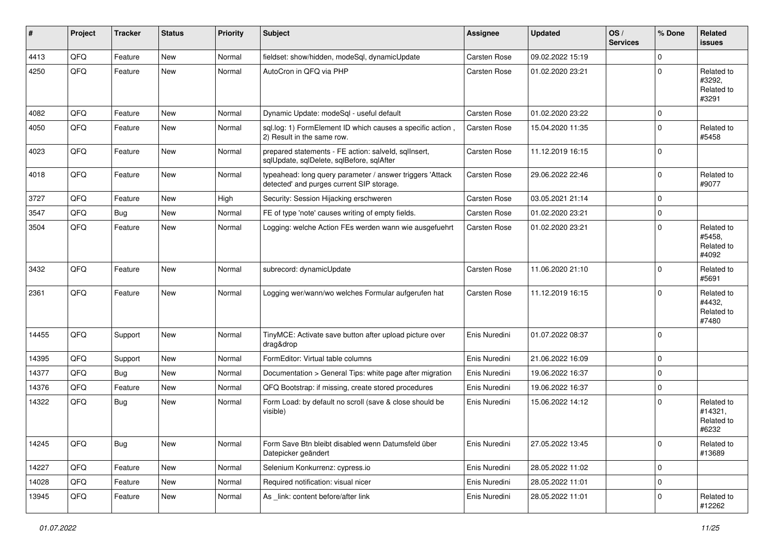| #     | Project | <b>Tracker</b> | <b>Status</b> | <b>Priority</b> | Subject                                                                                                | <b>Assignee</b> | <b>Updated</b>   | OS/<br><b>Services</b> | % Done         | Related<br><b>issues</b>                     |
|-------|---------|----------------|---------------|-----------------|--------------------------------------------------------------------------------------------------------|-----------------|------------------|------------------------|----------------|----------------------------------------------|
| 4413  | QFQ     | Feature        | <b>New</b>    | Normal          | fieldset: show/hidden, modeSql, dynamicUpdate                                                          | Carsten Rose    | 09.02.2022 15:19 |                        | 0              |                                              |
| 4250  | QFQ     | Feature        | New           | Normal          | AutoCron in QFQ via PHP                                                                                | Carsten Rose    | 01.02.2020 23:21 |                        | 0              | Related to<br>#3292,<br>Related to<br>#3291  |
| 4082  | QFQ     | Feature        | <b>New</b>    | Normal          | Dynamic Update: modeSql - useful default                                                               | Carsten Rose    | 01.02.2020 23:22 |                        | 0              |                                              |
| 4050  | QFQ     | Feature        | New           | Normal          | sql.log: 1) FormElement ID which causes a specific action,<br>2) Result in the same row.               | Carsten Rose    | 15.04.2020 11:35 |                        | 0              | Related to<br>#5458                          |
| 4023  | QFQ     | Feature        | New           | Normal          | prepared statements - FE action: salveld, sqllnsert,<br>sqlUpdate, sqlDelete, sqlBefore, sqlAfter      | Carsten Rose    | 11.12.2019 16:15 |                        | 0              |                                              |
| 4018  | QFQ     | Feature        | <b>New</b>    | Normal          | typeahead: long query parameter / answer triggers 'Attack<br>detected' and purges current SIP storage. | Carsten Rose    | 29.06.2022 22:46 |                        | $\Omega$       | Related to<br>#9077                          |
| 3727  | QFQ     | Feature        | New           | High            | Security: Session Hijacking erschweren                                                                 | Carsten Rose    | 03.05.2021 21:14 |                        | 0              |                                              |
| 3547  | QFQ     | Bug            | New           | Normal          | FE of type 'note' causes writing of empty fields.                                                      | Carsten Rose    | 01.02.2020 23:21 |                        | 0              |                                              |
| 3504  | QFQ     | Feature        | New           | Normal          | Logging: welche Action FEs werden wann wie ausgefuehrt                                                 | Carsten Rose    | 01.02.2020 23:21 |                        | $\Omega$       | Related to<br>#5458.<br>Related to<br>#4092  |
| 3432  | QFQ     | Feature        | <b>New</b>    | Normal          | subrecord: dynamicUpdate                                                                               | Carsten Rose    | 11.06.2020 21:10 |                        | 0              | Related to<br>#5691                          |
| 2361  | QFQ     | Feature        | New           | Normal          | Logging wer/wann/wo welches Formular aufgerufen hat                                                    | Carsten Rose    | 11.12.2019 16:15 |                        | 0              | Related to<br>#4432,<br>Related to<br>#7480  |
| 14455 | QFQ     | Support        | <b>New</b>    | Normal          | TinyMCE: Activate save button after upload picture over<br>drag&drop                                   | Enis Nuredini   | 01.07.2022 08:37 |                        | $\Omega$       |                                              |
| 14395 | QFQ     | Support        | New           | Normal          | FormEditor: Virtual table columns                                                                      | Enis Nuredini   | 21.06.2022 16:09 |                        | 0              |                                              |
| 14377 | QFQ     | Bug            | New           | Normal          | Documentation > General Tips: white page after migration                                               | Enis Nuredini   | 19.06.2022 16:37 |                        | 0              |                                              |
| 14376 | QFQ     | Feature        | <b>New</b>    | Normal          | QFQ Bootstrap: if missing, create stored procedures                                                    | Enis Nuredini   | 19.06.2022 16:37 |                        | 0              |                                              |
| 14322 | QFQ     | Bug            | New           | Normal          | Form Load: by default no scroll (save & close should be<br>visible)                                    | Enis Nuredini   | 15.06.2022 14:12 |                        | 0              | Related to<br>#14321,<br>Related to<br>#6232 |
| 14245 | QFQ     | Bug            | New           | Normal          | Form Save Btn bleibt disabled wenn Datumsfeld über<br>Datepicker geändert                              | Enis Nuredini   | 27.05.2022 13:45 |                        | $\overline{0}$ | Related to<br>#13689                         |
| 14227 | QFQ     | Feature        | New           | Normal          | Selenium Konkurrenz: cypress.io                                                                        | Enis Nuredini   | 28.05.2022 11:02 |                        | $\mathbf 0$    |                                              |
| 14028 | QFQ     | Feature        | New           | Normal          | Required notification: visual nicer                                                                    | Enis Nuredini   | 28.05.2022 11:01 |                        | $\mathbf 0$    |                                              |
| 13945 | QFQ     | Feature        | New           | Normal          | As link: content before/after link                                                                     | Enis Nuredini   | 28.05.2022 11:01 |                        | 0              | Related to<br>#12262                         |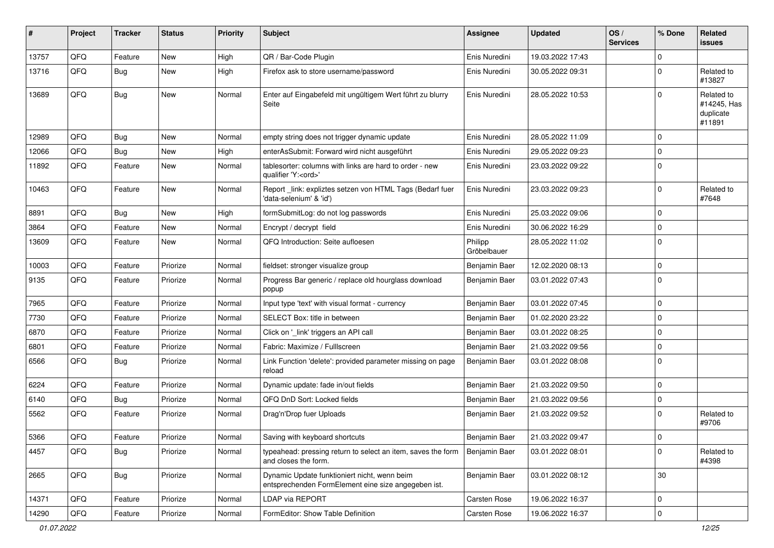| #     | Project | <b>Tracker</b> | <b>Status</b> | <b>Priority</b> | <b>Subject</b>                                                                                      | Assignee               | <b>Updated</b>   | OS/<br><b>Services</b> | % Done      | Related<br>issues                                |
|-------|---------|----------------|---------------|-----------------|-----------------------------------------------------------------------------------------------------|------------------------|------------------|------------------------|-------------|--------------------------------------------------|
| 13757 | QFQ     | Feature        | <b>New</b>    | High            | QR / Bar-Code Plugin                                                                                | Enis Nuredini          | 19.03.2022 17:43 |                        | $\Omega$    |                                                  |
| 13716 | QFQ     | Bug            | New           | High            | Firefox ask to store username/password                                                              | Enis Nuredini          | 30.05.2022 09:31 |                        | $\mathbf 0$ | Related to<br>#13827                             |
| 13689 | QFQ     | Bug            | <b>New</b>    | Normal          | Enter auf Eingabefeld mit ungültigem Wert führt zu blurry<br>Seite                                  | Enis Nuredini          | 28.05.2022 10:53 |                        | $\Omega$    | Related to<br>#14245, Has<br>duplicate<br>#11891 |
| 12989 | QFQ     | <b>Bug</b>     | <b>New</b>    | Normal          | empty string does not trigger dynamic update                                                        | Enis Nuredini          | 28.05.2022 11:09 |                        | $\Omega$    |                                                  |
| 12066 | QFQ     | <b>Bug</b>     | <b>New</b>    | High            | enterAsSubmit: Forward wird nicht ausgeführt                                                        | Enis Nuredini          | 29.05.2022 09:23 |                        | $\Omega$    |                                                  |
| 11892 | QFQ     | Feature        | <b>New</b>    | Normal          | tablesorter: columns with links are hard to order - new<br>qualifier 'Y: <ord>'</ord>               | Enis Nuredini          | 23.03.2022 09:22 |                        | $\Omega$    |                                                  |
| 10463 | QFQ     | Feature        | New           | Normal          | Report _link: expliztes setzen von HTML Tags (Bedarf fuer<br>'data-selenium' & 'id')                | Enis Nuredini          | 23.03.2022 09:23 |                        | $\Omega$    | Related to<br>#7648                              |
| 8891  | QFQ     | Bug            | <b>New</b>    | High            | formSubmitLog: do not log passwords                                                                 | Enis Nuredini          | 25.03.2022 09:06 |                        | $\mathbf 0$ |                                                  |
| 3864  | QFQ     | Feature        | <b>New</b>    | Normal          | Encrypt / decrypt field                                                                             | Enis Nuredini          | 30.06.2022 16:29 |                        | $\Omega$    |                                                  |
| 13609 | QFQ     | Feature        | New           | Normal          | QFQ Introduction: Seite aufloesen                                                                   | Philipp<br>Gröbelbauer | 28.05.2022 11:02 |                        | $\Omega$    |                                                  |
| 10003 | QFQ     | Feature        | Priorize      | Normal          | fieldset: stronger visualize group                                                                  | Benjamin Baer          | 12.02.2020 08:13 |                        | 0           |                                                  |
| 9135  | QFQ     | Feature        | Priorize      | Normal          | Progress Bar generic / replace old hourglass download<br>popup                                      | Benjamin Baer          | 03.01.2022 07:43 |                        | $\Omega$    |                                                  |
| 7965  | QFQ     | Feature        | Priorize      | Normal          | Input type 'text' with visual format - currency                                                     | Benjamin Baer          | 03.01.2022 07:45 |                        | $\Omega$    |                                                  |
| 7730  | QFQ     | Feature        | Priorize      | Normal          | SELECT Box: title in between                                                                        | Benjamin Baer          | 01.02.2020 23:22 |                        | $\Omega$    |                                                  |
| 6870  | QFQ     | Feature        | Priorize      | Normal          | Click on '_link' triggers an API call                                                               | Benjamin Baer          | 03.01.2022 08:25 |                        | $\Omega$    |                                                  |
| 6801  | QFQ     | Feature        | Priorize      | Normal          | Fabric: Maximize / FullIscreen                                                                      | Benjamin Baer          | 21.03.2022 09:56 |                        | $\Omega$    |                                                  |
| 6566  | QFQ     | <b>Bug</b>     | Priorize      | Normal          | Link Function 'delete': provided parameter missing on page<br>reload                                | Benjamin Baer          | 03.01.2022 08:08 |                        | $\Omega$    |                                                  |
| 6224  | QFQ     | Feature        | Priorize      | Normal          | Dynamic update: fade in/out fields                                                                  | Benjamin Baer          | 21.03.2022 09:50 |                        | $\Omega$    |                                                  |
| 6140  | QFQ     | Bug            | Priorize      | Normal          | QFQ DnD Sort: Locked fields                                                                         | Benjamin Baer          | 21.03.2022 09:56 |                        | 0           |                                                  |
| 5562  | QFQ     | Feature        | Priorize      | Normal          | Drag'n'Drop fuer Uploads                                                                            | Benjamin Baer          | 21.03.2022 09:52 |                        | $\Omega$    | Related to<br>#9706                              |
| 5366  | QFQ     | Feature        | Priorize      | Normal          | Saving with keyboard shortcuts                                                                      | Benjamin Baer          | 21.03.2022 09:47 |                        | 0           |                                                  |
| 4457  | QFQ     | Bug            | Priorize      | Normal          | typeahead: pressing return to select an item, saves the form<br>and closes the form.                | Benjamin Baer          | 03.01.2022 08:01 |                        | 0           | Related to<br>#4398                              |
| 2665  | QFQ     | <b>Bug</b>     | Priorize      | Normal          | Dynamic Update funktioniert nicht, wenn beim<br>entsprechenden FormElement eine size angegeben ist. | Benjamin Baer          | 03.01.2022 08:12 |                        | $30\,$      |                                                  |
| 14371 | QFQ     | Feature        | Priorize      | Normal          | LDAP via REPORT                                                                                     | Carsten Rose           | 19.06.2022 16:37 |                        | $\mathbf 0$ |                                                  |
| 14290 | QFQ     | Feature        | Priorize      | Normal          | FormEditor: Show Table Definition                                                                   | Carsten Rose           | 19.06.2022 16:37 |                        | $\pmb{0}$   |                                                  |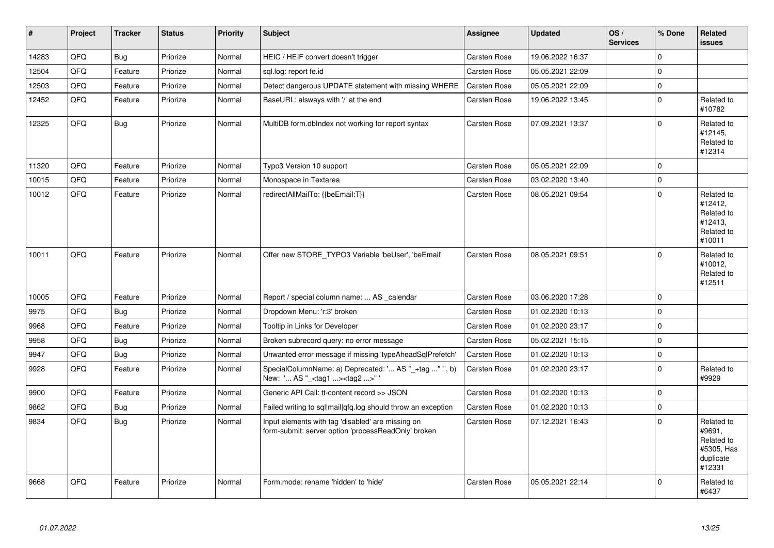| $\vert$ # | Project | <b>Tracker</b> | <b>Status</b> | <b>Priority</b> | <b>Subject</b>                                                                                           | Assignee     | <b>Updated</b>   | OS/<br><b>Services</b> | % Done              | Related<br><b>issues</b>                                                |
|-----------|---------|----------------|---------------|-----------------|----------------------------------------------------------------------------------------------------------|--------------|------------------|------------------------|---------------------|-------------------------------------------------------------------------|
| 14283     | QFQ     | Bug            | Priorize      | Normal          | HEIC / HEIF convert doesn't trigger                                                                      | Carsten Rose | 19.06.2022 16:37 |                        | $\mathbf 0$         |                                                                         |
| 12504     | QFQ     | Feature        | Priorize      | Normal          | sql.log: report fe.id                                                                                    | Carsten Rose | 05.05.2021 22:09 |                        | $\overline{0}$      |                                                                         |
| 12503     | QFQ     | Feature        | Priorize      | Normal          | Detect dangerous UPDATE statement with missing WHERE                                                     | Carsten Rose | 05.05.2021 22:09 |                        | $\mathbf{0}$        |                                                                         |
| 12452     | QFQ     | Feature        | Priorize      | Normal          | BaseURL: alsways with '/' at the end                                                                     | Carsten Rose | 19.06.2022 13:45 |                        | $\mathbf{0}$        | Related to<br>#10782                                                    |
| 12325     | QFQ     | <b>Bug</b>     | Priorize      | Normal          | MultiDB form.dbIndex not working for report syntax                                                       | Carsten Rose | 07.09.2021 13:37 |                        | $\mathbf{0}$        | Related to<br>#12145,<br>Related to<br>#12314                           |
| 11320     | QFQ     | Feature        | Priorize      | Normal          | Typo3 Version 10 support                                                                                 | Carsten Rose | 05.05.2021 22:09 |                        | $\overline{0}$      |                                                                         |
| 10015     | QFQ     | Feature        | Priorize      | Normal          | Monospace in Textarea                                                                                    | Carsten Rose | 03.02.2020 13:40 |                        | $\mathbf 0$         |                                                                         |
| 10012     | QFQ     | Feature        | Priorize      | Normal          | redirectAllMailTo: {{beEmail:T}}                                                                         | Carsten Rose | 08.05.2021 09:54 |                        | $\overline{0}$      | Related to<br>#12412,<br>Related to<br>#12413,<br>Related to<br>#10011  |
| 10011     | QFQ     | Feature        | Priorize      | Normal          | Offer new STORE_TYPO3 Variable 'beUser', 'beEmail'                                                       | Carsten Rose | 08.05.2021 09:51 |                        | $\mathbf 0$         | Related to<br>#10012,<br>Related to<br>#12511                           |
| 10005     | QFQ     | Feature        | Priorize      | Normal          | Report / special column name:  AS calendar                                                               | Carsten Rose | 03.06.2020 17:28 |                        | $\mathbf{0}$        |                                                                         |
| 9975      | QFQ     | <b>Bug</b>     | Priorize      | Normal          | Dropdown Menu: 'r:3' broken                                                                              | Carsten Rose | 01.02.2020 10:13 |                        | $\mathbf 0$         |                                                                         |
| 9968      | QFQ     | Feature        | Priorize      | Normal          | Tooltip in Links for Developer                                                                           | Carsten Rose | 01.02.2020 23:17 |                        | $\mathbf 0$         |                                                                         |
| 9958      | QFQ     | <b>Bug</b>     | Priorize      | Normal          | Broken subrecord query: no error message                                                                 | Carsten Rose | 05.02.2021 15:15 |                        | $\mathbf{0}$        |                                                                         |
| 9947      | QFQ     | Bug            | Priorize      | Normal          | Unwanted error message if missing 'typeAheadSqlPrefetch'                                                 | Carsten Rose | 01.02.2020 10:13 |                        | $\mathbf{0}$        |                                                                         |
| 9928      | QFQ     | Feature        | Priorize      | Normal          | SpecialColumnName: a) Deprecated: ' AS "_+tag " ', b)<br>New: ' AS "_ <tag1><tag2>"</tag2></tag1>        | Carsten Rose | 01.02.2020 23:17 |                        | $\mathbf{0}$        | Related to<br>#9929                                                     |
| 9900      | QFQ     | Feature        | Priorize      | Normal          | Generic API Call: tt-content record >> JSON                                                              | Carsten Rose | 01.02.2020 10:13 |                        | $\mathbf 0$         |                                                                         |
| 9862      | QFQ     | Bug            | Priorize      | Normal          | Failed writing to sql mail qfq.log should throw an exception                                             | Carsten Rose | 01.02.2020 10:13 |                        | $\mathsf{O}\xspace$ |                                                                         |
| 9834      | QFQ     | Bug            | Priorize      | Normal          | Input elements with tag 'disabled' are missing on<br>form-submit: server option 'processReadOnly' broken | Carsten Rose | 07.12.2021 16:43 |                        | $\overline{0}$      | Related to<br>#9691,<br>Related to<br>#5305, Has<br>duplicate<br>#12331 |
| 9668      | QFQ     | Feature        | Priorize      | Normal          | Form.mode: rename 'hidden' to 'hide'                                                                     | Carsten Rose | 05.05.2021 22:14 |                        | $\Omega$            | Related to<br>#6437                                                     |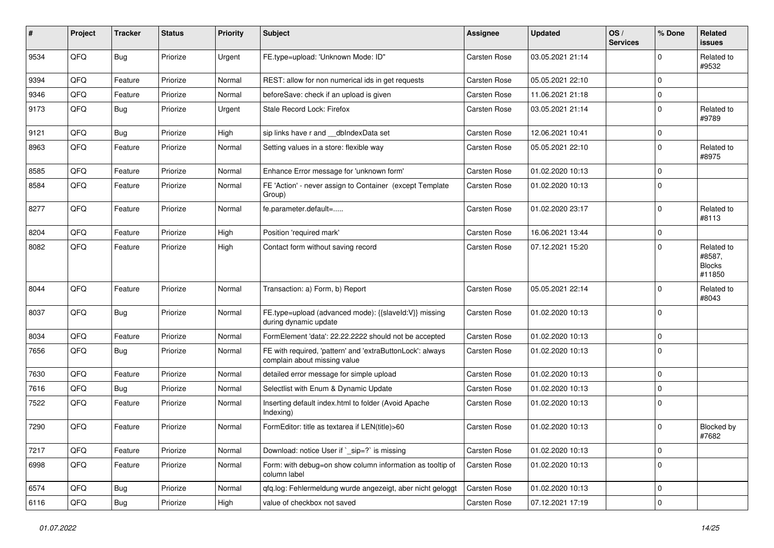| ∦    | Project | <b>Tracker</b> | <b>Status</b> | <b>Priority</b> | <b>Subject</b>                                                                            | <b>Assignee</b>     | <b>Updated</b>   | OS/<br><b>Services</b> | % Done      | Related<br>issues                               |
|------|---------|----------------|---------------|-----------------|-------------------------------------------------------------------------------------------|---------------------|------------------|------------------------|-------------|-------------------------------------------------|
| 9534 | QFQ     | <b>Bug</b>     | Priorize      | Urgent          | FE.type=upload: 'Unknown Mode: ID"                                                        | Carsten Rose        | 03.05.2021 21:14 |                        | $\mathbf 0$ | Related to<br>#9532                             |
| 9394 | QFQ     | Feature        | Priorize      | Normal          | REST: allow for non numerical ids in get requests                                         | <b>Carsten Rose</b> | 05.05.2021 22:10 |                        | $\mathbf 0$ |                                                 |
| 9346 | QFQ     | Feature        | Priorize      | Normal          | beforeSave: check if an upload is given                                                   | <b>Carsten Rose</b> | 11.06.2021 21:18 |                        | $\mathbf 0$ |                                                 |
| 9173 | QFQ     | <b>Bug</b>     | Priorize      | Urgent          | Stale Record Lock: Firefox                                                                | Carsten Rose        | 03.05.2021 21:14 |                        | $\mathbf 0$ | Related to<br>#9789                             |
| 9121 | QFQ     | Bug            | Priorize      | High            | sip links have r and __dbIndexData set                                                    | <b>Carsten Rose</b> | 12.06.2021 10:41 |                        | 0           |                                                 |
| 8963 | QFQ     | Feature        | Priorize      | Normal          | Setting values in a store: flexible way                                                   | <b>Carsten Rose</b> | 05.05.2021 22:10 |                        | $\mathbf 0$ | Related to<br>#8975                             |
| 8585 | QFQ     | Feature        | Priorize      | Normal          | Enhance Error message for 'unknown form'                                                  | <b>Carsten Rose</b> | 01.02.2020 10:13 |                        | $\mathbf 0$ |                                                 |
| 8584 | QFQ     | Feature        | Priorize      | Normal          | FE 'Action' - never assign to Container (except Template<br>Group)                        | <b>Carsten Rose</b> | 01.02.2020 10:13 |                        | $\mathbf 0$ |                                                 |
| 8277 | QFQ     | Feature        | Priorize      | Normal          | fe.parameter.default=                                                                     | <b>Carsten Rose</b> | 01.02.2020 23:17 |                        | $\mathbf 0$ | Related to<br>#8113                             |
| 8204 | QFQ     | Feature        | Priorize      | High            | Position 'required mark'                                                                  | <b>Carsten Rose</b> | 16.06.2021 13:44 |                        | $\mathbf 0$ |                                                 |
| 8082 | QFQ     | Feature        | Priorize      | High            | Contact form without saving record                                                        | Carsten Rose        | 07.12.2021 15:20 |                        | $\mathbf 0$ | Related to<br>#8587,<br><b>Blocks</b><br>#11850 |
| 8044 | QFQ     | Feature        | Priorize      | Normal          | Transaction: a) Form, b) Report                                                           | <b>Carsten Rose</b> | 05.05.2021 22:14 |                        | $\mathbf 0$ | Related to<br>#8043                             |
| 8037 | QFQ     | Bug            | Priorize      | Normal          | FE.type=upload (advanced mode): {{slaveld:V}} missing<br>during dynamic update            | <b>Carsten Rose</b> | 01.02.2020 10:13 |                        | $\mathbf 0$ |                                                 |
| 8034 | QFQ     | Feature        | Priorize      | Normal          | FormElement 'data': 22.22.2222 should not be accepted                                     | <b>Carsten Rose</b> | 01.02.2020 10:13 |                        | $\mathbf 0$ |                                                 |
| 7656 | QFQ     | Bug            | Priorize      | Normal          | FE with required, 'pattern' and 'extraButtonLock': always<br>complain about missing value | Carsten Rose        | 01.02.2020 10:13 |                        | $\mathbf 0$ |                                                 |
| 7630 | QFQ     | Feature        | Priorize      | Normal          | detailed error message for simple upload                                                  | Carsten Rose        | 01.02.2020 10:13 |                        | $\mathbf 0$ |                                                 |
| 7616 | QFQ     | Bug            | Priorize      | Normal          | Selectlist with Enum & Dynamic Update                                                     | <b>Carsten Rose</b> | 01.02.2020 10:13 |                        | $\mathbf 0$ |                                                 |
| 7522 | QFQ     | Feature        | Priorize      | Normal          | Inserting default index.html to folder (Avoid Apache<br>Indexing)                         | Carsten Rose        | 01.02.2020 10:13 |                        | 0           |                                                 |
| 7290 | QFQ     | Feature        | Priorize      | Normal          | FormEditor: title as textarea if LEN(title)>60                                            | <b>Carsten Rose</b> | 01.02.2020 10:13 |                        | $\mathbf 0$ | Blocked by<br>#7682                             |
| 7217 | QFQ     | Feature        | Priorize      | Normal          | Download: notice User if `_sip=?` is missing                                              | Carsten Rose        | 01.02.2020 10:13 |                        | $\mathbf 0$ |                                                 |
| 6998 | QFQ     | Feature        | Priorize      | Normal          | Form: with debug=on show column information as tooltip of<br>column label                 | Carsten Rose        | 01.02.2020 10:13 |                        | $\mathbf 0$ |                                                 |
| 6574 | QFQ     | <b>Bug</b>     | Priorize      | Normal          | qfq.log: Fehlermeldung wurde angezeigt, aber nicht geloggt                                | Carsten Rose        | 01.02.2020 10:13 |                        | $\mathbf 0$ |                                                 |
| 6116 | QFG     | <b>Bug</b>     | Priorize      | High            | value of checkbox not saved                                                               | Carsten Rose        | 07.12.2021 17:19 |                        | $\pmb{0}$   |                                                 |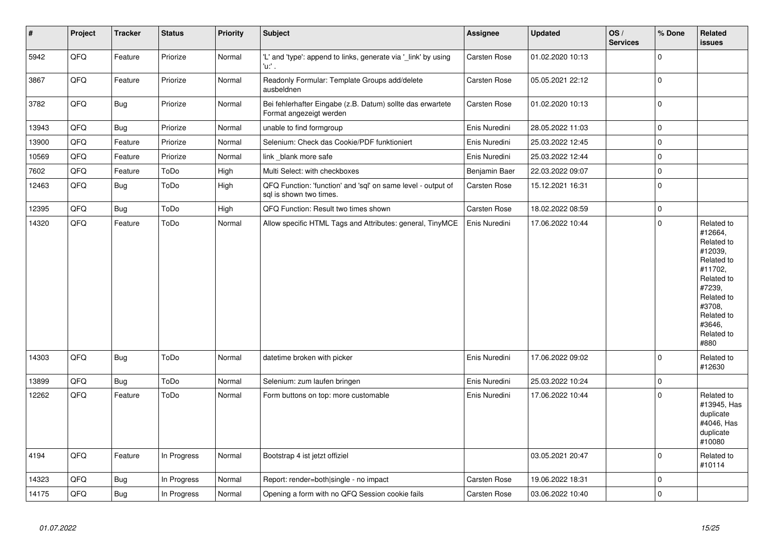| $\vert$ # | Project | <b>Tracker</b> | <b>Status</b> | Priority | <b>Subject</b>                                                                          | <b>Assignee</b>     | <b>Updated</b>   | OS/<br><b>Services</b> | % Done         | Related<br><b>issues</b>                                                                                                                                              |
|-----------|---------|----------------|---------------|----------|-----------------------------------------------------------------------------------------|---------------------|------------------|------------------------|----------------|-----------------------------------------------------------------------------------------------------------------------------------------------------------------------|
| 5942      | QFQ     | Feature        | Priorize      | Normal   | 'L' and 'type': append to links, generate via '_link' by using<br>'u:' .                | Carsten Rose        | 01.02.2020 10:13 |                        | $\mathbf 0$    |                                                                                                                                                                       |
| 3867      | QFQ     | Feature        | Priorize      | Normal   | Readonly Formular: Template Groups add/delete<br>ausbeldnen                             | Carsten Rose        | 05.05.2021 22:12 |                        | $\overline{0}$ |                                                                                                                                                                       |
| 3782      | QFQ     | <b>Bug</b>     | Priorize      | Normal   | Bei fehlerhafter Eingabe (z.B. Datum) sollte das erwartete<br>Format angezeigt werden   | Carsten Rose        | 01.02.2020 10:13 |                        | $\mathbf 0$    |                                                                                                                                                                       |
| 13943     | QFQ     | Bug            | Priorize      | Normal   | unable to find formgroup                                                                | Enis Nuredini       | 28.05.2022 11:03 |                        | $\mathbf 0$    |                                                                                                                                                                       |
| 13900     | QFQ     | Feature        | Priorize      | Normal   | Selenium: Check das Cookie/PDF funktioniert                                             | Enis Nuredini       | 25.03.2022 12:45 |                        | $\mathbf 0$    |                                                                                                                                                                       |
| 10569     | QFQ     | Feature        | Priorize      | Normal   | link _blank more safe                                                                   | Enis Nuredini       | 25.03.2022 12:44 |                        | $\mathbf 0$    |                                                                                                                                                                       |
| 7602      | QFQ     | Feature        | ToDo          | High     | Multi Select: with checkboxes                                                           | Benjamin Baer       | 22.03.2022 09:07 |                        | $\mathbf 0$    |                                                                                                                                                                       |
| 12463     | QFQ     | Bug            | ToDo          | High     | QFQ Function: 'function' and 'sql' on same level - output of<br>sal is shown two times. | Carsten Rose        | 15.12.2021 16:31 |                        | $\overline{0}$ |                                                                                                                                                                       |
| 12395     | QFQ     | <b>Bug</b>     | ToDo          | High     | QFQ Function: Result two times shown                                                    | Carsten Rose        | 18.02.2022 08:59 |                        | $\mathbf 0$    |                                                                                                                                                                       |
| 14320     | QFQ     | Feature        | ToDo          | Normal   | Allow specific HTML Tags and Attributes: general, TinyMCE                               | Enis Nuredini       | 17.06.2022 10:44 |                        | $\mathbf 0$    | Related to<br>#12664,<br>Related to<br>#12039,<br>Related to<br>#11702,<br>Related to<br>#7239,<br>Related to<br>#3708,<br>Related to<br>#3646.<br>Related to<br>#880 |
| 14303     | QFQ     | <b>Bug</b>     | ToDo          | Normal   | datetime broken with picker                                                             | Enis Nuredini       | 17.06.2022 09:02 |                        | $\overline{0}$ | Related to<br>#12630                                                                                                                                                  |
| 13899     | QFQ     | <b>Bug</b>     | ToDo          | Normal   | Selenium: zum laufen bringen                                                            | Enis Nuredini       | 25.03.2022 10:24 |                        | $\pmb{0}$      |                                                                                                                                                                       |
| 12262     | QFQ     | Feature        | ToDo          | Normal   | Form buttons on top: more customable                                                    | Enis Nuredini       | 17.06.2022 10:44 |                        | $\Omega$       | Related to<br>#13945, Has<br>duplicate<br>#4046, Has<br>duplicate<br>#10080                                                                                           |
| 4194      | QFQ     | Feature        | In Progress   | Normal   | Bootstrap 4 ist jetzt offiziel                                                          |                     | 03.05.2021 20:47 |                        | $\overline{0}$ | Related to<br>#10114                                                                                                                                                  |
| 14323     | QFQ     | Bug            | In Progress   | Normal   | Report: render=both single - no impact                                                  | Carsten Rose        | 19.06.2022 18:31 |                        | $\mathbf 0$    |                                                                                                                                                                       |
| 14175     | QFQ     | <b>Bug</b>     | In Progress   | Normal   | Opening a form with no QFQ Session cookie fails                                         | <b>Carsten Rose</b> | 03.06.2022 10:40 |                        | $\overline{0}$ |                                                                                                                                                                       |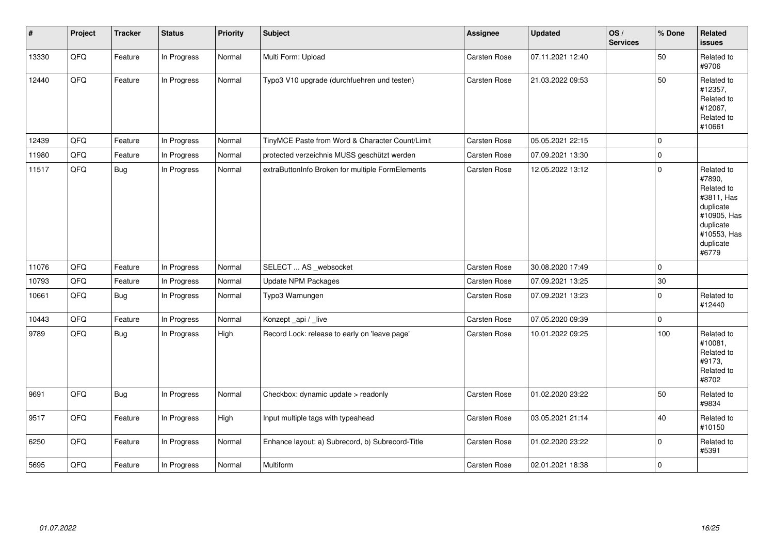| $\pmb{\sharp}$ | Project | <b>Tracker</b> | <b>Status</b> | Priority | <b>Subject</b>                                   | <b>Assignee</b>     | <b>Updated</b>   | OS/<br><b>Services</b> | % Done    | Related<br>issues                                                                                                              |
|----------------|---------|----------------|---------------|----------|--------------------------------------------------|---------------------|------------------|------------------------|-----------|--------------------------------------------------------------------------------------------------------------------------------|
| 13330          | QFQ     | Feature        | In Progress   | Normal   | Multi Form: Upload                               | Carsten Rose        | 07.11.2021 12:40 |                        | 50        | Related to<br>#9706                                                                                                            |
| 12440          | QFQ     | Feature        | In Progress   | Normal   | Typo3 V10 upgrade (durchfuehren und testen)      | Carsten Rose        | 21.03.2022 09:53 |                        | 50        | Related to<br>#12357,<br>Related to<br>#12067,<br>Related to<br>#10661                                                         |
| 12439          | QFQ     | Feature        | In Progress   | Normal   | TinyMCE Paste from Word & Character Count/Limit  | Carsten Rose        | 05.05.2021 22:15 |                        | $\Omega$  |                                                                                                                                |
| 11980          | QFQ     | Feature        | In Progress   | Normal   | protected verzeichnis MUSS geschützt werden      | Carsten Rose        | 07.09.2021 13:30 |                        | $\pmb{0}$ |                                                                                                                                |
| 11517          | QFQ     | <b>Bug</b>     | In Progress   | Normal   | extraButtonInfo Broken for multiple FormElements | Carsten Rose        | 12.05.2022 13:12 |                        | 0         | Related to<br>#7890,<br>Related to<br>#3811, Has<br>duplicate<br>#10905, Has<br>duplicate<br>#10553, Has<br>duplicate<br>#6779 |
| 11076          | QFQ     | Feature        | In Progress   | Normal   | SELECT  AS _websocket                            | Carsten Rose        | 30.08.2020 17:49 |                        | 0         |                                                                                                                                |
| 10793          | QFQ     | Feature        | In Progress   | Normal   | Update NPM Packages                              | Carsten Rose        | 07.09.2021 13:25 |                        | 30        |                                                                                                                                |
| 10661          | QFQ     | <b>Bug</b>     | In Progress   | Normal   | Typo3 Warnungen                                  | Carsten Rose        | 07.09.2021 13:23 |                        | 0         | Related to<br>#12440                                                                                                           |
| 10443          | QFQ     | Feature        | In Progress   | Normal   | Konzept_api / _live                              | Carsten Rose        | 07.05.2020 09:39 |                        | 0         |                                                                                                                                |
| 9789           | QFQ     | Bug            | In Progress   | High     | Record Lock: release to early on 'leave page'    | Carsten Rose        | 10.01.2022 09:25 |                        | 100       | Related to<br>#10081,<br>Related to<br>#9173,<br>Related to<br>#8702                                                           |
| 9691           | QFQ     | <b>Bug</b>     | In Progress   | Normal   | Checkbox: dynamic update > readonly              | <b>Carsten Rose</b> | 01.02.2020 23:22 |                        | 50        | Related to<br>#9834                                                                                                            |
| 9517           | QFQ     | Feature        | In Progress   | High     | Input multiple tags with typeahead               | Carsten Rose        | 03.05.2021 21:14 |                        | 40        | Related to<br>#10150                                                                                                           |
| 6250           | QFQ     | Feature        | In Progress   | Normal   | Enhance layout: a) Subrecord, b) Subrecord-Title | Carsten Rose        | 01.02.2020 23:22 |                        | 0         | Related to<br>#5391                                                                                                            |
| 5695           | QFQ     | Feature        | In Progress   | Normal   | Multiform                                        | <b>Carsten Rose</b> | 02.01.2021 18:38 |                        | 0         |                                                                                                                                |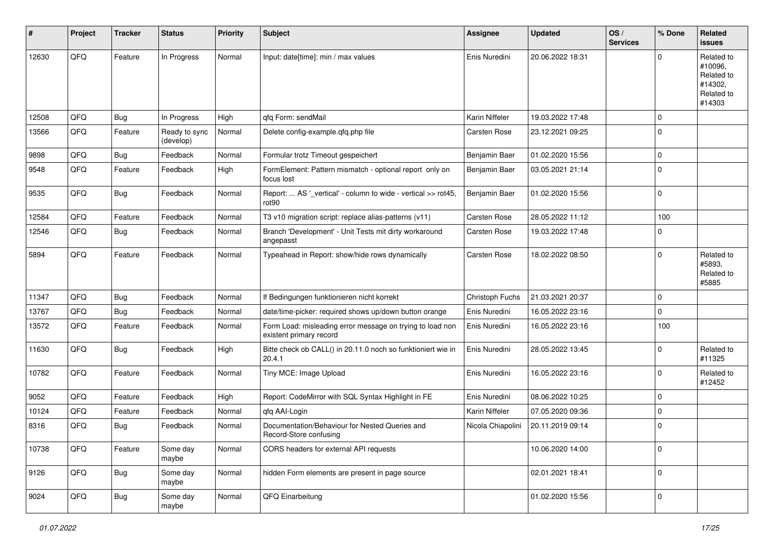| $\sharp$ | Project | <b>Tracker</b> | <b>Status</b>              | <b>Priority</b> | <b>Subject</b>                                                                       | Assignee            | <b>Updated</b>   | OS/<br><b>Services</b> | % Done      | <b>Related</b><br>issues                                               |
|----------|---------|----------------|----------------------------|-----------------|--------------------------------------------------------------------------------------|---------------------|------------------|------------------------|-------------|------------------------------------------------------------------------|
| 12630    | QFQ     | Feature        | In Progress                | Normal          | Input: date[time]: min / max values                                                  | Enis Nuredini       | 20.06.2022 18:31 |                        | $\Omega$    | Related to<br>#10096.<br>Related to<br>#14302,<br>Related to<br>#14303 |
| 12508    | QFQ     | <b>Bug</b>     | In Progress                | High            | qfq Form: sendMail                                                                   | Karin Niffeler      | 19.03.2022 17:48 |                        | $\mathbf 0$ |                                                                        |
| 13566    | QFQ     | Feature        | Ready to sync<br>(develop) | Normal          | Delete config-example.qfq.php file                                                   | Carsten Rose        | 23.12.2021 09:25 |                        | $\mathbf 0$ |                                                                        |
| 9898     | QFQ     | <b>Bug</b>     | Feedback                   | Normal          | Formular trotz Timeout gespeichert                                                   | Benjamin Baer       | 01.02.2020 15:56 |                        | $\mathbf 0$ |                                                                        |
| 9548     | QFQ     | Feature        | Feedback                   | High            | FormElement: Pattern mismatch - optional report only on<br>focus lost                | Benjamin Baer       | 03.05.2021 21:14 |                        | $\mathbf 0$ |                                                                        |
| 9535     | QFQ     | Bug            | Feedback                   | Normal          | Report:  AS '_vertical' - column to wide - vertical >> rot45,<br>rot <sub>90</sub>   | Benjamin Baer       | 01.02.2020 15:56 |                        | $\mathbf 0$ |                                                                        |
| 12584    | QFQ     | Feature        | Feedback                   | Normal          | T3 v10 migration script: replace alias-patterns (v11)                                | Carsten Rose        | 28.05.2022 11:12 |                        | 100         |                                                                        |
| 12546    | QFQ     | <b>Bug</b>     | Feedback                   | Normal          | Branch 'Development' - Unit Tests mit dirty workaround<br>angepasst                  | Carsten Rose        | 19.03.2022 17:48 |                        | $\mathbf 0$ |                                                                        |
| 5894     | QFQ     | Feature        | Feedback                   | Normal          | Typeahead in Report: show/hide rows dynamically                                      | <b>Carsten Rose</b> | 18.02.2022 08:50 |                        | $\mathbf 0$ | Related to<br>#5893.<br>Related to<br>#5885                            |
| 11347    | QFQ     | <b>Bug</b>     | Feedback                   | Normal          | If Bedingungen funktionieren nicht korrekt                                           | Christoph Fuchs     | 21.03.2021 20:37 |                        | $\Omega$    |                                                                        |
| 13767    | QFQ     | <b>Bug</b>     | Feedback                   | Normal          | date/time-picker: required shows up/down button orange                               | Enis Nuredini       | 16.05.2022 23:16 |                        | $\mathbf 0$ |                                                                        |
| 13572    | QFQ     | Feature        | Feedback                   | Normal          | Form Load: misleading error message on trying to load non<br>existent primary record | Enis Nuredini       | 16.05.2022 23:16 |                        | 100         |                                                                        |
| 11630    | QFQ     | <b>Bug</b>     | Feedback                   | High            | Bitte check ob CALL() in 20.11.0 noch so funktioniert wie in<br>20.4.1               | Enis Nuredini       | 28.05.2022 13:45 |                        | $\mathbf 0$ | Related to<br>#11325                                                   |
| 10782    | QFQ     | Feature        | Feedback                   | Normal          | Tiny MCE: Image Upload                                                               | Enis Nuredini       | 16.05.2022 23:16 |                        | $\mathbf 0$ | Related to<br>#12452                                                   |
| 9052     | QFQ     | Feature        | Feedback                   | High            | Report: CodeMirror with SQL Syntax Highlight in FE                                   | Enis Nuredini       | 08.06.2022 10:25 |                        | 0           |                                                                        |
| 10124    | QFQ     | Feature        | Feedback                   | Normal          | qfq AAI-Login                                                                        | Karin Niffeler      | 07.05.2020 09:36 |                        | $\mathbf 0$ |                                                                        |
| 8316     | QFQ     | Bug            | Feedback                   | Normal          | Documentation/Behaviour for Nested Queries and<br>Record-Store confusing             | Nicola Chiapolini   | 20.11.2019 09:14 |                        | 0           |                                                                        |
| 10738    | QFQ     | Feature        | Some day<br>maybe          | Normal          | CORS headers for external API requests                                               |                     | 10.06.2020 14:00 |                        | 0           |                                                                        |
| 9126     | QFQ     | <b>Bug</b>     | Some day<br>maybe          | Normal          | hidden Form elements are present in page source                                      |                     | 02.01.2021 18:41 |                        | 0           |                                                                        |
| 9024     | QFQ     | <b>Bug</b>     | Some day<br>maybe          | Normal          | QFQ Einarbeitung                                                                     |                     | 01.02.2020 15:56 |                        | 0           |                                                                        |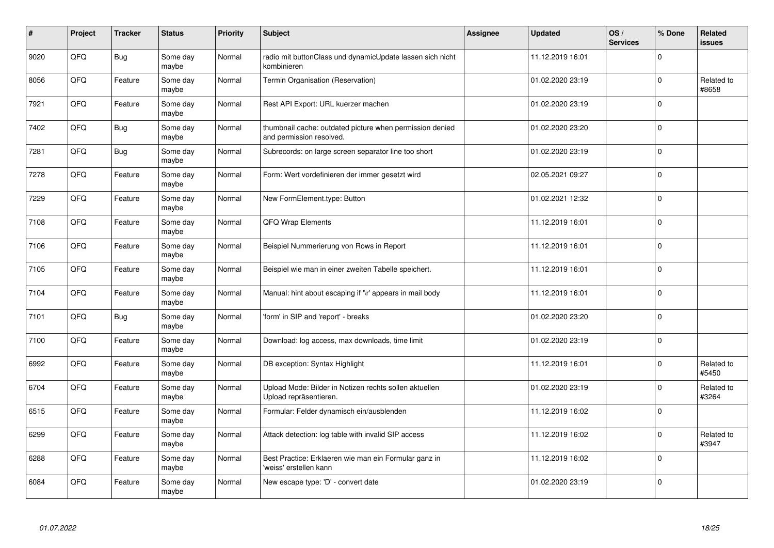| #    | Project | <b>Tracker</b> | <b>Status</b>     | Priority | <b>Subject</b>                                                                       | <b>Assignee</b> | <b>Updated</b>   | OS/<br><b>Services</b> | % Done      | Related<br><b>issues</b> |
|------|---------|----------------|-------------------|----------|--------------------------------------------------------------------------------------|-----------------|------------------|------------------------|-------------|--------------------------|
| 9020 | QFQ     | Bug            | Some day<br>maybe | Normal   | radio mit buttonClass und dynamicUpdate lassen sich nicht<br>kombinieren             |                 | 11.12.2019 16:01 |                        | $\Omega$    |                          |
| 8056 | QFQ     | Feature        | Some day<br>maybe | Normal   | Termin Organisation (Reservation)                                                    |                 | 01.02.2020 23:19 |                        | $\pmb{0}$   | Related to<br>#8658      |
| 7921 | QFQ     | Feature        | Some day<br>maybe | Normal   | Rest API Export: URL kuerzer machen                                                  |                 | 01.02.2020 23:19 |                        | $\Omega$    |                          |
| 7402 | QFQ     | <b>Bug</b>     | Some day<br>maybe | Normal   | thumbnail cache: outdated picture when permission denied<br>and permission resolved. |                 | 01.02.2020 23:20 |                        | $\Omega$    |                          |
| 7281 | QFQ     | <b>Bug</b>     | Some day<br>maybe | Normal   | Subrecords: on large screen separator line too short                                 |                 | 01.02.2020 23:19 |                        | $\Omega$    |                          |
| 7278 | QFQ     | Feature        | Some day<br>maybe | Normal   | Form: Wert vordefinieren der immer gesetzt wird                                      |                 | 02.05.2021 09:27 |                        | $\mathbf 0$ |                          |
| 7229 | QFQ     | Feature        | Some day<br>maybe | Normal   | New FormElement.type: Button                                                         |                 | 01.02.2021 12:32 |                        | $\mathbf 0$ |                          |
| 7108 | QFQ     | Feature        | Some day<br>maybe | Normal   | QFQ Wrap Elements                                                                    |                 | 11.12.2019 16:01 |                        | $\Omega$    |                          |
| 7106 | QFQ     | Feature        | Some day<br>maybe | Normal   | Beispiel Nummerierung von Rows in Report                                             |                 | 11.12.2019 16:01 |                        | $\Omega$    |                          |
| 7105 | QFQ     | Feature        | Some day<br>maybe | Normal   | Beispiel wie man in einer zweiten Tabelle speichert.                                 |                 | 11.12.2019 16:01 |                        | $\mathbf 0$ |                          |
| 7104 | QFQ     | Feature        | Some day<br>maybe | Normal   | Manual: hint about escaping if '\r' appears in mail body                             |                 | 11.12.2019 16:01 |                        | $\Omega$    |                          |
| 7101 | QFQ     | Bug            | Some day<br>maybe | Normal   | 'form' in SIP and 'report' - breaks                                                  |                 | 01.02.2020 23:20 |                        | $\mathbf 0$ |                          |
| 7100 | QFQ     | Feature        | Some day<br>maybe | Normal   | Download: log access, max downloads, time limit                                      |                 | 01.02.2020 23:19 |                        | $\mathbf 0$ |                          |
| 6992 | QFQ     | Feature        | Some day<br>maybe | Normal   | DB exception: Syntax Highlight                                                       |                 | 11.12.2019 16:01 |                        | $\mathbf 0$ | Related to<br>#5450      |
| 6704 | QFQ     | Feature        | Some day<br>maybe | Normal   | Upload Mode: Bilder in Notizen rechts sollen aktuellen<br>Upload repräsentieren.     |                 | 01.02.2020 23:19 |                        | $\Omega$    | Related to<br>#3264      |
| 6515 | QFQ     | Feature        | Some day<br>maybe | Normal   | Formular: Felder dynamisch ein/ausblenden                                            |                 | 11.12.2019 16:02 |                        | $\Omega$    |                          |
| 6299 | QFQ     | Feature        | Some day<br>maybe | Normal   | Attack detection: log table with invalid SIP access                                  |                 | 11.12.2019 16:02 |                        | $\Omega$    | Related to<br>#3947      |
| 6288 | QFQ     | Feature        | Some day<br>maybe | Normal   | Best Practice: Erklaeren wie man ein Formular ganz in<br>'weiss' erstellen kann      |                 | 11.12.2019 16:02 |                        | $\mathbf 0$ |                          |
| 6084 | QFQ     | Feature        | Some day<br>maybe | Normal   | New escape type: 'D' - convert date                                                  |                 | 01.02.2020 23:19 |                        | $\Omega$    |                          |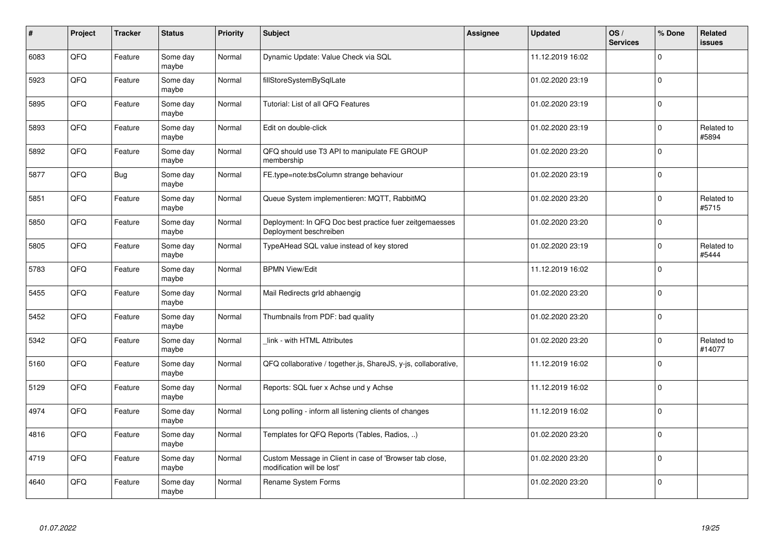| #    | Project | <b>Tracker</b> | <b>Status</b>     | <b>Priority</b> | <b>Subject</b>                                                                        | Assignee | <b>Updated</b>   | OS/<br><b>Services</b> | % Done      | Related<br><b>issues</b> |
|------|---------|----------------|-------------------|-----------------|---------------------------------------------------------------------------------------|----------|------------------|------------------------|-------------|--------------------------|
| 6083 | QFQ     | Feature        | Some day<br>maybe | Normal          | Dynamic Update: Value Check via SQL                                                   |          | 11.12.2019 16:02 |                        | $\mathbf 0$ |                          |
| 5923 | QFQ     | Feature        | Some day<br>maybe | Normal          | fillStoreSystemBySqlLate                                                              |          | 01.02.2020 23:19 |                        | $\Omega$    |                          |
| 5895 | QFQ     | Feature        | Some day<br>maybe | Normal          | Tutorial: List of all QFQ Features                                                    |          | 01.02.2020 23:19 |                        | $\mathbf 0$ |                          |
| 5893 | QFQ     | Feature        | Some day<br>maybe | Normal          | Edit on double-click                                                                  |          | 01.02.2020 23:19 |                        | $\mathbf 0$ | Related to<br>#5894      |
| 5892 | QFQ     | Feature        | Some day<br>maybe | Normal          | QFQ should use T3 API to manipulate FE GROUP<br>membership                            |          | 01.02.2020 23:20 |                        | $\mathbf 0$ |                          |
| 5877 | QFQ     | <b>Bug</b>     | Some day<br>maybe | Normal          | FE.type=note:bsColumn strange behaviour                                               |          | 01.02.2020 23:19 |                        | $\mathbf 0$ |                          |
| 5851 | QFQ     | Feature        | Some day<br>maybe | Normal          | Queue System implementieren: MQTT, RabbitMQ                                           |          | 01.02.2020 23:20 |                        | $\mathbf 0$ | Related to<br>#5715      |
| 5850 | QFQ     | Feature        | Some day<br>maybe | Normal          | Deployment: In QFQ Doc best practice fuer zeitgemaesses<br>Deployment beschreiben     |          | 01.02.2020 23:20 |                        | $\mathbf 0$ |                          |
| 5805 | QFQ     | Feature        | Some day<br>maybe | Normal          | TypeAHead SQL value instead of key stored                                             |          | 01.02.2020 23:19 |                        | $\Omega$    | Related to<br>#5444      |
| 5783 | QFQ     | Feature        | Some day<br>maybe | Normal          | <b>BPMN View/Edit</b>                                                                 |          | 11.12.2019 16:02 |                        | $\mathbf 0$ |                          |
| 5455 | QFQ     | Feature        | Some day<br>maybe | Normal          | Mail Redirects grld abhaengig                                                         |          | 01.02.2020 23:20 |                        | $\mathbf 0$ |                          |
| 5452 | QFQ     | Feature        | Some day<br>maybe | Normal          | Thumbnails from PDF: bad quality                                                      |          | 01.02.2020 23:20 |                        | $\Omega$    |                          |
| 5342 | QFQ     | Feature        | Some day<br>maybe | Normal          | link - with HTML Attributes                                                           |          | 01.02.2020 23:20 |                        | $\mathbf 0$ | Related to<br>#14077     |
| 5160 | QFQ     | Feature        | Some day<br>maybe | Normal          | QFQ collaborative / together.js, ShareJS, y-js, collaborative,                        |          | 11.12.2019 16:02 |                        | $\pmb{0}$   |                          |
| 5129 | QFQ     | Feature        | Some day<br>maybe | Normal          | Reports: SQL fuer x Achse und y Achse                                                 |          | 11.12.2019 16:02 |                        | $\mathbf 0$ |                          |
| 4974 | QFQ     | Feature        | Some day<br>maybe | Normal          | Long polling - inform all listening clients of changes                                |          | 11.12.2019 16:02 |                        | $\mathbf 0$ |                          |
| 4816 | QFQ     | Feature        | Some day<br>maybe | Normal          | Templates for QFQ Reports (Tables, Radios, )                                          |          | 01.02.2020 23:20 |                        | $\mathbf 0$ |                          |
| 4719 | QFQ     | Feature        | Some day<br>maybe | Normal          | Custom Message in Client in case of 'Browser tab close,<br>modification will be lost' |          | 01.02.2020 23:20 |                        | $\mathbf 0$ |                          |
| 4640 | QFQ     | Feature        | Some day<br>maybe | Normal          | Rename System Forms                                                                   |          | 01.02.2020 23:20 |                        | $\Omega$    |                          |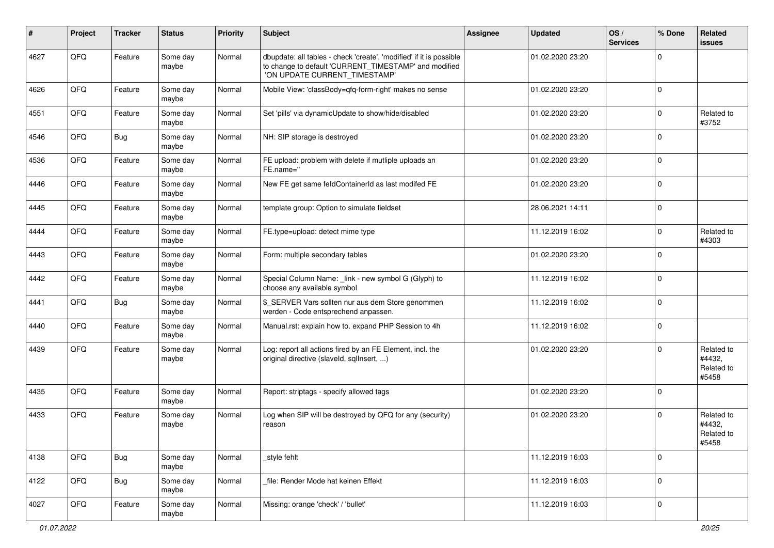| #    | Project | <b>Tracker</b> | <b>Status</b>     | <b>Priority</b> | <b>Subject</b>                                                                                                                                                | Assignee | <b>Updated</b>   | OS/<br><b>Services</b> | % Done       | Related<br>issues                           |
|------|---------|----------------|-------------------|-----------------|---------------------------------------------------------------------------------------------------------------------------------------------------------------|----------|------------------|------------------------|--------------|---------------------------------------------|
| 4627 | QFQ     | Feature        | Some day<br>maybe | Normal          | dbupdate: all tables - check 'create', 'modified' if it is possible<br>to change to default 'CURRENT_TIMESTAMP' and modified<br>'ON UPDATE CURRENT_TIMESTAMP' |          | 01.02.2020 23:20 |                        | $\mathbf 0$  |                                             |
| 4626 | QFQ     | Feature        | Some day<br>maybe | Normal          | Mobile View: 'classBody=qfq-form-right' makes no sense                                                                                                        |          | 01.02.2020 23:20 |                        | $\mathbf 0$  |                                             |
| 4551 | QFQ     | Feature        | Some day<br>maybe | Normal          | Set 'pills' via dynamicUpdate to show/hide/disabled                                                                                                           |          | 01.02.2020 23:20 |                        | $\mathbf 0$  | Related to<br>#3752                         |
| 4546 | QFQ     | <b>Bug</b>     | Some day<br>maybe | Normal          | NH: SIP storage is destroyed                                                                                                                                  |          | 01.02.2020 23:20 |                        | $\mathbf 0$  |                                             |
| 4536 | QFQ     | Feature        | Some day<br>maybe | Normal          | FE upload: problem with delete if mutliple uploads an<br>FE.name="                                                                                            |          | 01.02.2020 23:20 |                        | $\mathbf 0$  |                                             |
| 4446 | QFQ     | Feature        | Some day<br>maybe | Normal          | New FE get same feldContainerId as last modifed FE                                                                                                            |          | 01.02.2020 23:20 |                        | $\mathbf{0}$ |                                             |
| 4445 | QFQ     | Feature        | Some day<br>maybe | Normal          | template group: Option to simulate fieldset                                                                                                                   |          | 28.06.2021 14:11 |                        | $\mathbf{0}$ |                                             |
| 4444 | QFQ     | Feature        | Some day<br>maybe | Normal          | FE.type=upload: detect mime type                                                                                                                              |          | 11.12.2019 16:02 |                        | $\mathbf{0}$ | Related to<br>#4303                         |
| 4443 | QFQ     | Feature        | Some day<br>maybe | Normal          | Form: multiple secondary tables                                                                                                                               |          | 01.02.2020 23:20 |                        | $\mathbf 0$  |                                             |
| 4442 | QFQ     | Feature        | Some day<br>maybe | Normal          | Special Column Name: _link - new symbol G (Glyph) to<br>choose any available symbol                                                                           |          | 11.12.2019 16:02 |                        | $\pmb{0}$    |                                             |
| 4441 | QFQ     | Bug            | Some day<br>maybe | Normal          | \$_SERVER Vars sollten nur aus dem Store genommen<br>werden - Code entsprechend anpassen.                                                                     |          | 11.12.2019 16:02 |                        | $\mathbf 0$  |                                             |
| 4440 | QFQ     | Feature        | Some day<br>maybe | Normal          | Manual.rst: explain how to. expand PHP Session to 4h                                                                                                          |          | 11.12.2019 16:02 |                        | $\mathbf 0$  |                                             |
| 4439 | QFQ     | Feature        | Some day<br>maybe | Normal          | Log: report all actions fired by an FE Element, incl. the<br>original directive (slaveld, sqllnsert, )                                                        |          | 01.02.2020 23:20 |                        | $\mathbf 0$  | Related to<br>#4432,<br>Related to<br>#5458 |
| 4435 | QFQ     | Feature        | Some day<br>maybe | Normal          | Report: striptags - specify allowed tags                                                                                                                      |          | 01.02.2020 23:20 |                        | $\mathbf 0$  |                                             |
| 4433 | QFQ     | Feature        | Some day<br>maybe | Normal          | Log when SIP will be destroyed by QFQ for any (security)<br>reason                                                                                            |          | 01.02.2020 23:20 |                        | $\mathbf 0$  | Related to<br>#4432,<br>Related to<br>#5458 |
| 4138 | QFQ     | <b>Bug</b>     | Some day<br>maybe | Normal          | style fehlt                                                                                                                                                   |          | 11.12.2019 16:03 |                        | $\mathbf 0$  |                                             |
| 4122 | QFQ     | Bug            | Some day<br>maybe | Normal          | file: Render Mode hat keinen Effekt                                                                                                                           |          | 11.12.2019 16:03 |                        | $\pmb{0}$    |                                             |
| 4027 | QFQ     | Feature        | Some day<br>maybe | Normal          | Missing: orange 'check' / 'bullet'                                                                                                                            |          | 11.12.2019 16:03 |                        | $\pmb{0}$    |                                             |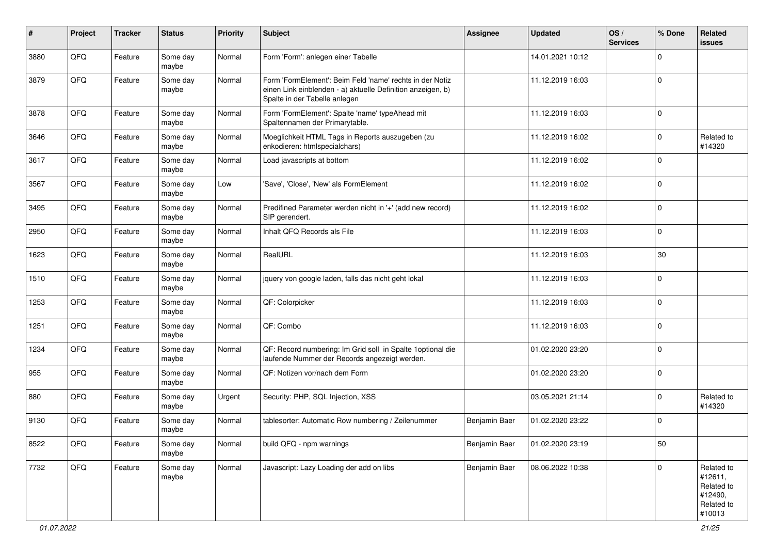| #    | Project | <b>Tracker</b> | <b>Status</b>     | <b>Priority</b> | <b>Subject</b>                                                                                                                                           | <b>Assignee</b> | <b>Updated</b>   | OS/<br><b>Services</b> | % Done       | <b>Related</b><br>issues                                               |
|------|---------|----------------|-------------------|-----------------|----------------------------------------------------------------------------------------------------------------------------------------------------------|-----------------|------------------|------------------------|--------------|------------------------------------------------------------------------|
| 3880 | QFQ     | Feature        | Some day<br>maybe | Normal          | Form 'Form': anlegen einer Tabelle                                                                                                                       |                 | 14.01.2021 10:12 |                        | $\mathbf 0$  |                                                                        |
| 3879 | QFQ     | Feature        | Some day<br>maybe | Normal          | Form 'FormElement': Beim Feld 'name' rechts in der Notiz<br>einen Link einblenden - a) aktuelle Definition anzeigen, b)<br>Spalte in der Tabelle anlegen |                 | 11.12.2019 16:03 |                        | $\mathbf 0$  |                                                                        |
| 3878 | QFQ     | Feature        | Some day<br>maybe | Normal          | Form 'FormElement': Spalte 'name' typeAhead mit<br>Spaltennamen der Primarytable.                                                                        |                 | 11.12.2019 16:03 |                        | $\mathbf 0$  |                                                                        |
| 3646 | QFQ     | Feature        | Some day<br>maybe | Normal          | Moeglichkeit HTML Tags in Reports auszugeben (zu<br>enkodieren: htmlspecialchars)                                                                        |                 | 11.12.2019 16:02 |                        | 0            | Related to<br>#14320                                                   |
| 3617 | QFQ     | Feature        | Some day<br>maybe | Normal          | Load javascripts at bottom                                                                                                                               |                 | 11.12.2019 16:02 |                        | $\mathbf 0$  |                                                                        |
| 3567 | QFQ     | Feature        | Some day<br>maybe | Low             | 'Save', 'Close', 'New' als FormElement                                                                                                                   |                 | 11.12.2019 16:02 |                        | $\mathbf 0$  |                                                                        |
| 3495 | QFQ     | Feature        | Some day<br>maybe | Normal          | Predifined Parameter werden nicht in '+' (add new record)<br>SIP gerendert.                                                                              |                 | 11.12.2019 16:02 |                        | $\mathbf 0$  |                                                                        |
| 2950 | QFQ     | Feature        | Some day<br>maybe | Normal          | Inhalt QFQ Records als File                                                                                                                              |                 | 11.12.2019 16:03 |                        | $\mathbf 0$  |                                                                        |
| 1623 | QFQ     | Feature        | Some day<br>maybe | Normal          | RealURL                                                                                                                                                  |                 | 11.12.2019 16:03 |                        | 30           |                                                                        |
| 1510 | QFQ     | Feature        | Some day<br>maybe | Normal          | jquery von google laden, falls das nicht geht lokal                                                                                                      |                 | 11.12.2019 16:03 |                        | $\mathbf 0$  |                                                                        |
| 1253 | QFQ     | Feature        | Some day<br>maybe | Normal          | QF: Colorpicker                                                                                                                                          |                 | 11.12.2019 16:03 |                        | $\mathbf 0$  |                                                                        |
| 1251 | QFQ     | Feature        | Some day<br>maybe | Normal          | QF: Combo                                                                                                                                                |                 | 11.12.2019 16:03 |                        | $\mathbf 0$  |                                                                        |
| 1234 | QFQ     | Feature        | Some day<br>maybe | Normal          | QF: Record numbering: Im Grid soll in Spalte 1 optional die<br>laufende Nummer der Records angezeigt werden.                                             |                 | 01.02.2020 23:20 |                        | $\mathbf 0$  |                                                                        |
| 955  | QFQ     | Feature        | Some day<br>maybe | Normal          | QF: Notizen vor/nach dem Form                                                                                                                            |                 | 01.02.2020 23:20 |                        | $\mathbf 0$  |                                                                        |
| 880  | QFQ     | Feature        | Some day<br>maybe | Urgent          | Security: PHP, SQL Injection, XSS                                                                                                                        |                 | 03.05.2021 21:14 |                        | $\mathbf 0$  | Related to<br>#14320                                                   |
| 9130 | QFQ     | Feature        | Some day<br>maybe | Normal          | tablesorter: Automatic Row numbering / Zeilenummer                                                                                                       | Benjamin Baer   | 01.02.2020 23:22 |                        | $\mathbf 0$  |                                                                        |
| 8522 | QFQ     | Feature        | Some day<br>maybe | Normal          | build QFQ - npm warnings                                                                                                                                 | Benjamin Baer   | 01.02.2020 23:19 |                        | 50           |                                                                        |
| 7732 | QFG     | Feature        | Some day<br>maybe | Normal          | Javascript: Lazy Loading der add on libs                                                                                                                 | Benjamin Baer   | 08.06.2022 10:38 |                        | $\mathbf{0}$ | Related to<br>#12611,<br>Related to<br>#12490,<br>Related to<br>#10013 |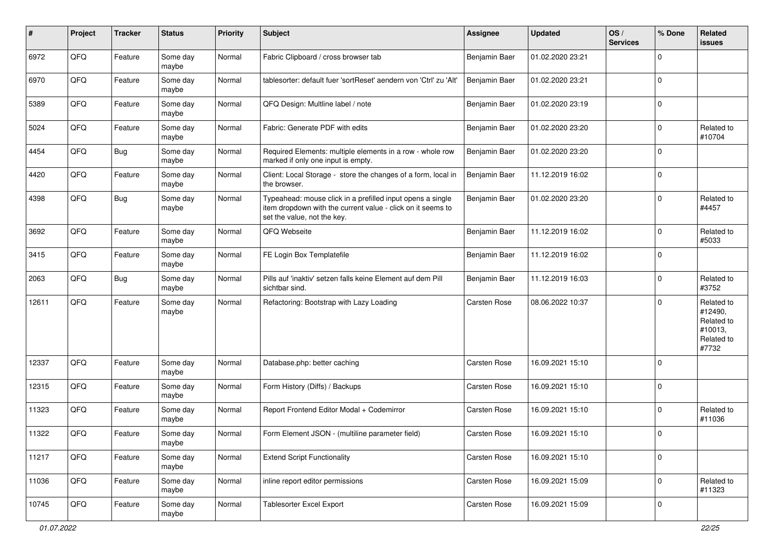| #     | Project | <b>Tracker</b> | <b>Status</b>     | <b>Priority</b> | <b>Subject</b>                                                                                                                                           | <b>Assignee</b>     | <b>Updated</b>   | OS/<br><b>Services</b> | % Done      | Related<br>issues                                                     |
|-------|---------|----------------|-------------------|-----------------|----------------------------------------------------------------------------------------------------------------------------------------------------------|---------------------|------------------|------------------------|-------------|-----------------------------------------------------------------------|
| 6972  | QFQ     | Feature        | Some day<br>maybe | Normal          | Fabric Clipboard / cross browser tab                                                                                                                     | Benjamin Baer       | 01.02.2020 23:21 |                        | $\mathbf 0$ |                                                                       |
| 6970  | QFQ     | Feature        | Some day<br>maybe | Normal          | tablesorter: default fuer 'sortReset' aendern von 'Ctrl' zu 'Alt'                                                                                        | Benjamin Baer       | 01.02.2020 23:21 |                        | $\mathbf 0$ |                                                                       |
| 5389  | QFQ     | Feature        | Some day<br>maybe | Normal          | QFQ Design: Multline label / note                                                                                                                        | Benjamin Baer       | 01.02.2020 23:19 |                        | $\mathbf 0$ |                                                                       |
| 5024  | QFQ     | Feature        | Some day<br>maybe | Normal          | Fabric: Generate PDF with edits                                                                                                                          | Benjamin Baer       | 01.02.2020 23:20 |                        | 0           | Related to<br>#10704                                                  |
| 4454  | QFQ     | <b>Bug</b>     | Some day<br>maybe | Normal          | Required Elements: multiple elements in a row - whole row<br>marked if only one input is empty.                                                          | Benjamin Baer       | 01.02.2020 23:20 |                        | $\mathbf 0$ |                                                                       |
| 4420  | QFQ     | Feature        | Some day<br>maybe | Normal          | Client: Local Storage - store the changes of a form, local in<br>the browser.                                                                            | Benjamin Baer       | 11.12.2019 16:02 |                        | $\mathbf 0$ |                                                                       |
| 4398  | QFQ     | Bug            | Some day<br>maybe | Normal          | Typeahead: mouse click in a prefilled input opens a single<br>item dropdown with the current value - click on it seems to<br>set the value, not the key. | Benjamin Baer       | 01.02.2020 23:20 |                        | $\mathbf 0$ | Related to<br>#4457                                                   |
| 3692  | QFQ     | Feature        | Some day<br>maybe | Normal          | QFQ Webseite                                                                                                                                             | Benjamin Baer       | 11.12.2019 16:02 |                        | $\mathbf 0$ | Related to<br>#5033                                                   |
| 3415  | QFQ     | Feature        | Some day<br>maybe | Normal          | FE Login Box Templatefile                                                                                                                                | Benjamin Baer       | 11.12.2019 16:02 |                        | $\mathbf 0$ |                                                                       |
| 2063  | QFQ     | Bug            | Some day<br>maybe | Normal          | Pills auf 'inaktiv' setzen falls keine Element auf dem Pill<br>sichtbar sind.                                                                            | Benjamin Baer       | 11.12.2019 16:03 |                        | $\mathbf 0$ | Related to<br>#3752                                                   |
| 12611 | QFQ     | Feature        | Some day<br>maybe | Normal          | Refactoring: Bootstrap with Lazy Loading                                                                                                                 | Carsten Rose        | 08.06.2022 10:37 |                        | $\mathbf 0$ | Related to<br>#12490,<br>Related to<br>#10013,<br>Related to<br>#7732 |
| 12337 | QFQ     | Feature        | Some day<br>maybe | Normal          | Database.php: better caching                                                                                                                             | Carsten Rose        | 16.09.2021 15:10 |                        | $\mathbf 0$ |                                                                       |
| 12315 | QFQ     | Feature        | Some day<br>maybe | Normal          | Form History (Diffs) / Backups                                                                                                                           | <b>Carsten Rose</b> | 16.09.2021 15:10 |                        | $\mathbf 0$ |                                                                       |
| 11323 | QFQ     | Feature        | Some day<br>maybe | Normal          | Report Frontend Editor Modal + Codemirror                                                                                                                | Carsten Rose        | 16.09.2021 15:10 |                        | $\mathbf 0$ | Related to<br>#11036                                                  |
| 11322 | QFQ     | Feature        | Some day<br>maybe | Normal          | Form Element JSON - (multiline parameter field)                                                                                                          | Carsten Rose        | 16.09.2021 15:10 |                        | $\mathbf 0$ |                                                                       |
| 11217 | QFQ     | Feature        | Some day<br>maybe | Normal          | <b>Extend Script Functionality</b>                                                                                                                       | Carsten Rose        | 16.09.2021 15:10 |                        | $\mathbf 0$ |                                                                       |
| 11036 | QFQ     | Feature        | Some day<br>maybe | Normal          | inline report editor permissions                                                                                                                         | Carsten Rose        | 16.09.2021 15:09 |                        | $\pmb{0}$   | Related to<br>#11323                                                  |
| 10745 | QFG     | Feature        | Some day<br>maybe | Normal          | <b>Tablesorter Excel Export</b>                                                                                                                          | Carsten Rose        | 16.09.2021 15:09 |                        | $\pmb{0}$   |                                                                       |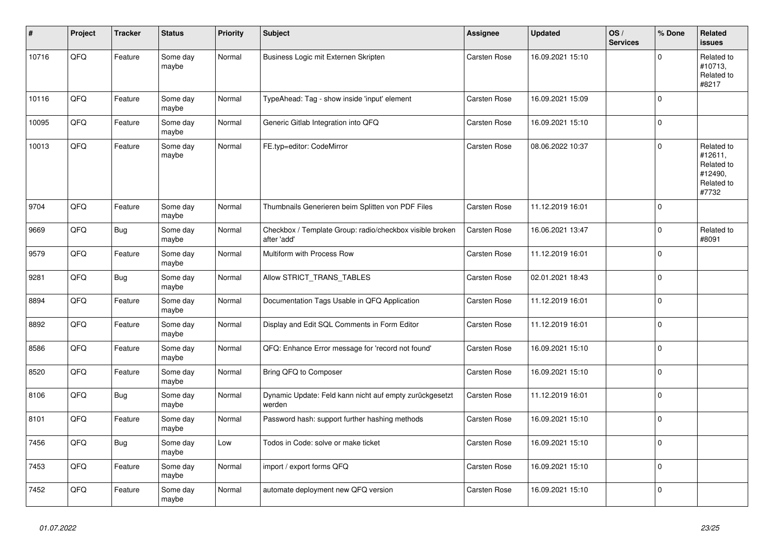| ∦     | Project | <b>Tracker</b> | <b>Status</b>     | <b>Priority</b> | Subject                                                                 | Assignee     | <b>Updated</b>   | OS/<br><b>Services</b> | % Done       | Related<br>issues                                                     |
|-------|---------|----------------|-------------------|-----------------|-------------------------------------------------------------------------|--------------|------------------|------------------------|--------------|-----------------------------------------------------------------------|
| 10716 | QFQ     | Feature        | Some day<br>maybe | Normal          | Business Logic mit Externen Skripten                                    | Carsten Rose | 16.09.2021 15:10 |                        | $\Omega$     | Related to<br>#10713,<br>Related to<br>#8217                          |
| 10116 | QFQ     | Feature        | Some day<br>maybe | Normal          | TypeAhead: Tag - show inside 'input' element                            | Carsten Rose | 16.09.2021 15:09 |                        | $\Omega$     |                                                                       |
| 10095 | QFQ     | Feature        | Some day<br>maybe | Normal          | Generic Gitlab Integration into QFQ                                     | Carsten Rose | 16.09.2021 15:10 |                        | 0            |                                                                       |
| 10013 | QFQ     | Feature        | Some day<br>maybe | Normal          | FE.typ=editor: CodeMirror                                               | Carsten Rose | 08.06.2022 10:37 |                        | $\Omega$     | Related to<br>#12611,<br>Related to<br>#12490,<br>Related to<br>#7732 |
| 9704  | QFQ     | Feature        | Some day<br>maybe | Normal          | Thumbnails Generieren beim Splitten von PDF Files                       | Carsten Rose | 11.12.2019 16:01 |                        | $\mathbf{0}$ |                                                                       |
| 9669  | QFQ     | <b>Bug</b>     | Some day<br>maybe | Normal          | Checkbox / Template Group: radio/checkbox visible broken<br>after 'add' | Carsten Rose | 16.06.2021 13:47 |                        | $\mathbf 0$  | Related to<br>#8091                                                   |
| 9579  | QFQ     | Feature        | Some day<br>maybe | Normal          | Multiform with Process Row                                              | Carsten Rose | 11.12.2019 16:01 |                        | 0            |                                                                       |
| 9281  | QFQ     | <b>Bug</b>     | Some day<br>maybe | Normal          | Allow STRICT_TRANS_TABLES                                               | Carsten Rose | 02.01.2021 18:43 |                        | $\Omega$     |                                                                       |
| 8894  | QFQ     | Feature        | Some day<br>maybe | Normal          | Documentation Tags Usable in QFQ Application                            | Carsten Rose | 11.12.2019 16:01 |                        | $\mathbf{0}$ |                                                                       |
| 8892  | QFQ     | Feature        | Some day<br>maybe | Normal          | Display and Edit SQL Comments in Form Editor                            | Carsten Rose | 11.12.2019 16:01 |                        | 0            |                                                                       |
| 8586  | QFQ     | Feature        | Some day<br>maybe | Normal          | QFQ: Enhance Error message for 'record not found'                       | Carsten Rose | 16.09.2021 15:10 |                        | $\mathbf{0}$ |                                                                       |
| 8520  | QFQ     | Feature        | Some day<br>maybe | Normal          | Bring QFQ to Composer                                                   | Carsten Rose | 16.09.2021 15:10 |                        | $\Omega$     |                                                                       |
| 8106  | QFQ     | Bug            | Some day<br>maybe | Normal          | Dynamic Update: Feld kann nicht auf empty zurückgesetzt<br>werden       | Carsten Rose | 11.12.2019 16:01 |                        | $\pmb{0}$    |                                                                       |
| 8101  | QFQ     | Feature        | Some day<br>maybe | Normal          | Password hash: support further hashing methods                          | Carsten Rose | 16.09.2021 15:10 |                        | $\Omega$     |                                                                       |
| 7456  | QFQ     | Bug            | Some day<br>maybe | Low             | Todos in Code: solve or make ticket                                     | Carsten Rose | 16.09.2021 15:10 |                        | 0            |                                                                       |
| 7453  | QFQ     | Feature        | Some day<br>maybe | Normal          | import / export forms QFQ                                               | Carsten Rose | 16.09.2021 15:10 |                        | $\Omega$     |                                                                       |
| 7452  | QFQ     | Feature        | Some day<br>maybe | Normal          | automate deployment new QFQ version                                     | Carsten Rose | 16.09.2021 15:10 |                        | 0            |                                                                       |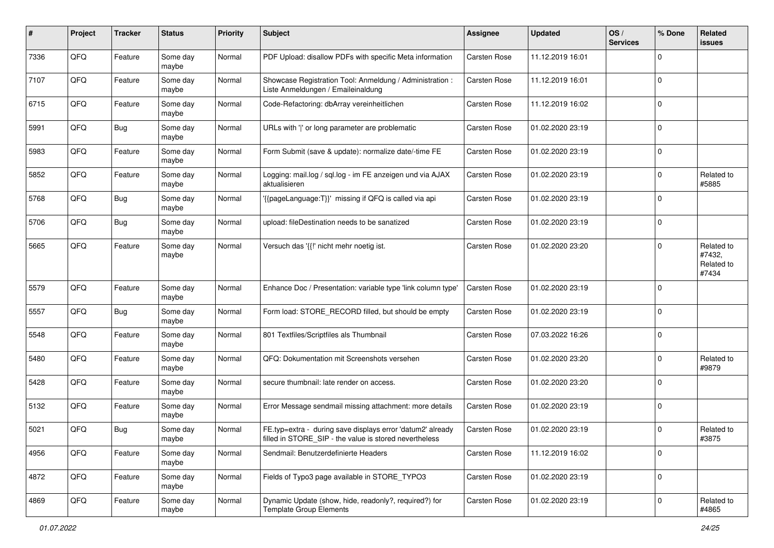| #    | Project | <b>Tracker</b> | <b>Status</b>     | <b>Priority</b> | <b>Subject</b>                                                                                                       | Assignee            | <b>Updated</b>   | OS/<br><b>Services</b> | % Done      | <b>Related</b><br>issues                    |
|------|---------|----------------|-------------------|-----------------|----------------------------------------------------------------------------------------------------------------------|---------------------|------------------|------------------------|-------------|---------------------------------------------|
| 7336 | QFQ     | Feature        | Some day<br>maybe | Normal          | PDF Upload: disallow PDFs with specific Meta information                                                             | <b>Carsten Rose</b> | 11.12.2019 16:01 |                        | $\Omega$    |                                             |
| 7107 | QFQ     | Feature        | Some day<br>maybe | Normal          | Showcase Registration Tool: Anmeldung / Administration :<br>Liste Anmeldungen / Emaileinaldung                       | Carsten Rose        | 11.12.2019 16:01 |                        | $\Omega$    |                                             |
| 6715 | QFQ     | Feature        | Some day<br>maybe | Normal          | Code-Refactoring: dbArray vereinheitlichen                                                                           | Carsten Rose        | 11.12.2019 16:02 |                        | $\Omega$    |                                             |
| 5991 | QFQ     | Bug            | Some day<br>maybe | Normal          | URLs with ' ' or long parameter are problematic                                                                      | <b>Carsten Rose</b> | 01.02.2020 23:19 |                        | $\Omega$    |                                             |
| 5983 | QFQ     | Feature        | Some day<br>maybe | Normal          | Form Submit (save & update): normalize date/-time FE                                                                 | <b>Carsten Rose</b> | 01.02.2020 23:19 |                        | $\mathbf 0$ |                                             |
| 5852 | QFQ     | Feature        | Some day<br>maybe | Normal          | Logging: mail.log / sql.log - im FE anzeigen und via AJAX<br>aktualisieren                                           | <b>Carsten Rose</b> | 01.02.2020 23:19 |                        | 0           | Related to<br>#5885                         |
| 5768 | QFQ     | Bug            | Some day<br>maybe | Normal          | '{{pageLanguage:T}}' missing if QFQ is called via api                                                                | Carsten Rose        | 01.02.2020 23:19 |                        | $\Omega$    |                                             |
| 5706 | QFQ     | Bug            | Some day<br>maybe | Normal          | upload: fileDestination needs to be sanatized                                                                        | <b>Carsten Rose</b> | 01.02.2020 23:19 |                        | $\Omega$    |                                             |
| 5665 | QFQ     | Feature        | Some day<br>maybe | Normal          | Versuch das '{{!' nicht mehr noetig ist.                                                                             | <b>Carsten Rose</b> | 01.02.2020 23:20 |                        | $\Omega$    | Related to<br>#7432,<br>Related to<br>#7434 |
| 5579 | QFQ     | Feature        | Some day<br>maybe | Normal          | Enhance Doc / Presentation: variable type 'link column type'                                                         | <b>Carsten Rose</b> | 01.02.2020 23:19 |                        | $\Omega$    |                                             |
| 5557 | QFQ     | Bug            | Some day<br>maybe | Normal          | Form load: STORE_RECORD filled, but should be empty                                                                  | <b>Carsten Rose</b> | 01.02.2020 23:19 |                        | $\Omega$    |                                             |
| 5548 | QFQ     | Feature        | Some day<br>maybe | Normal          | 801 Textfiles/Scriptfiles als Thumbnail                                                                              | <b>Carsten Rose</b> | 07.03.2022 16:26 |                        | $\mathbf 0$ |                                             |
| 5480 | QFQ     | Feature        | Some day<br>maybe | Normal          | QFQ: Dokumentation mit Screenshots versehen                                                                          | Carsten Rose        | 01.02.2020 23:20 |                        | 0           | Related to<br>#9879                         |
| 5428 | QFQ     | Feature        | Some day<br>maybe | Normal          | secure thumbnail: late render on access.                                                                             | <b>Carsten Rose</b> | 01.02.2020 23:20 |                        | $\Omega$    |                                             |
| 5132 | QFQ     | Feature        | Some day<br>maybe | Normal          | Error Message sendmail missing attachment: more details                                                              | <b>Carsten Rose</b> | 01.02.2020 23:19 |                        | $\mathbf 0$ |                                             |
| 5021 | QFQ     | Bug            | Some day<br>maybe | Normal          | FE.typ=extra - during save displays error 'datum2' already<br>filled in STORE_SIP - the value is stored nevertheless | <b>Carsten Rose</b> | 01.02.2020 23:19 |                        | $\Omega$    | Related to<br>#3875                         |
| 4956 | QFG     | Feature        | Some day<br>maybe | Normal          | Sendmail: Benutzerdefinierte Headers                                                                                 | Carsten Rose        | 11.12.2019 16:02 |                        | 0           |                                             |
| 4872 | QFQ     | Feature        | Some day<br>maybe | Normal          | Fields of Typo3 page available in STORE_TYPO3                                                                        | Carsten Rose        | 01.02.2020 23:19 |                        | $\mathbf 0$ |                                             |
| 4869 | QFQ     | Feature        | Some day<br>maybe | Normal          | Dynamic Update (show, hide, readonly?, required?) for<br><b>Template Group Elements</b>                              | Carsten Rose        | 01.02.2020 23:19 |                        | 0           | Related to<br>#4865                         |